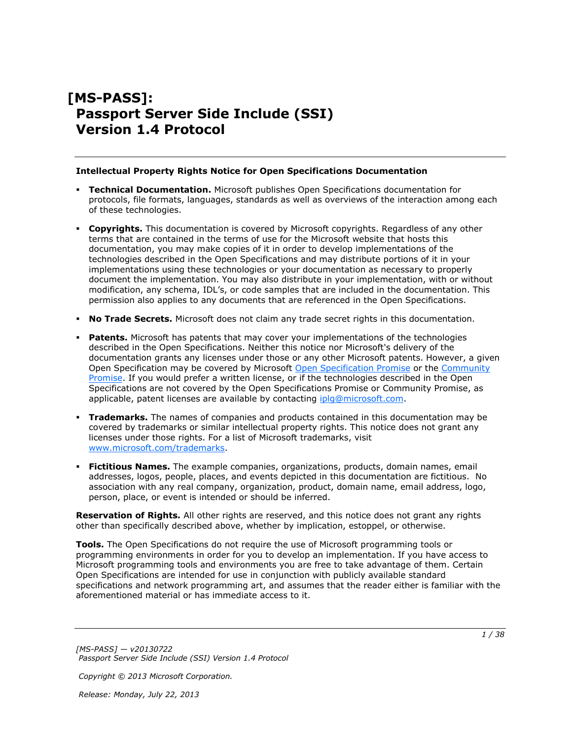# **[MS-PASS]: Passport Server Side Include (SSI) Version 1.4 Protocol**

#### **Intellectual Property Rights Notice for Open Specifications Documentation**

- **Technical Documentation.** Microsoft publishes Open Specifications documentation for protocols, file formats, languages, standards as well as overviews of the interaction among each of these technologies.
- **Copyrights.** This documentation is covered by Microsoft copyrights. Regardless of any other terms that are contained in the terms of use for the Microsoft website that hosts this documentation, you may make copies of it in order to develop implementations of the technologies described in the Open Specifications and may distribute portions of it in your implementations using these technologies or your documentation as necessary to properly document the implementation. You may also distribute in your implementation, with or without modification, any schema, IDL's, or code samples that are included in the documentation. This permission also applies to any documents that are referenced in the Open Specifications.
- **No Trade Secrets.** Microsoft does not claim any trade secret rights in this documentation.
- **Patents.** Microsoft has patents that may cover your implementations of the technologies described in the Open Specifications. Neither this notice nor Microsoft's delivery of the documentation grants any licenses under those or any other Microsoft patents. However, a given Open Specification may be covered by Microsoft [Open Specification Promise](http://go.microsoft.com/fwlink/?LinkId=214445) or the Community [Promise.](http://go.microsoft.com/fwlink/?LinkId=214448) If you would prefer a written license, or if the technologies described in the Open Specifications are not covered by the Open Specifications Promise or Community Promise, as applicable, patent licenses are available by contacting [iplg@microsoft.com.](mailto:iplg@microsoft.com)
- **Trademarks.** The names of companies and products contained in this documentation may be covered by trademarks or similar intellectual property rights. This notice does not grant any licenses under those rights. For a list of Microsoft trademarks, visit [www.microsoft.com/trademarks.](http://www.microsoft.com/trademarks)
- **Fictitious Names.** The example companies, organizations, products, domain names, email addresses, logos, people, places, and events depicted in this documentation are fictitious. No association with any real company, organization, product, domain name, email address, logo, person, place, or event is intended or should be inferred.

**Reservation of Rights.** All other rights are reserved, and this notice does not grant any rights other than specifically described above, whether by implication, estoppel, or otherwise.

**Tools.** The Open Specifications do not require the use of Microsoft programming tools or programming environments in order for you to develop an implementation. If you have access to Microsoft programming tools and environments you are free to take advantage of them. Certain Open Specifications are intended for use in conjunction with publicly available standard specifications and network programming art, and assumes that the reader either is familiar with the aforementioned material or has immediate access to it.

*[MS-PASS] — v20130722 Passport Server Side Include (SSI) Version 1.4 Protocol* 

*Copyright © 2013 Microsoft Corporation.*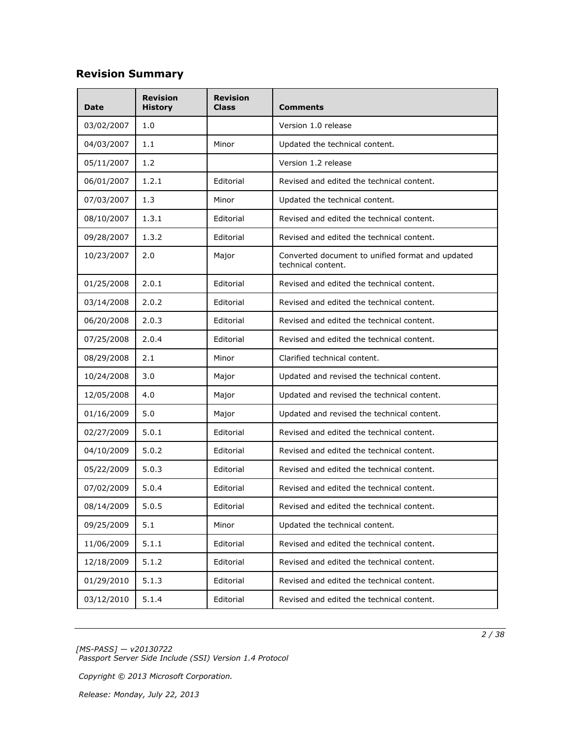# **Revision Summary**

| <b>Date</b> | <b>Revision</b><br><b>History</b> | <b>Revision</b><br>Class | Comments                                                               |  |
|-------------|-----------------------------------|--------------------------|------------------------------------------------------------------------|--|
| 03/02/2007  | 1.0                               |                          | Version 1.0 release                                                    |  |
| 04/03/2007  | 1.1                               | Minor                    | Updated the technical content.                                         |  |
| 05/11/2007  | 1.2                               |                          | Version 1.2 release                                                    |  |
| 06/01/2007  | 1.2.1                             | Editorial                | Revised and edited the technical content.                              |  |
| 07/03/2007  | 1.3                               | Minor                    | Updated the technical content.                                         |  |
| 08/10/2007  | 1.3.1                             | Editorial                | Revised and edited the technical content.                              |  |
| 09/28/2007  | 1.3.2                             | Editorial                | Revised and edited the technical content.                              |  |
| 10/23/2007  | 2.0                               | Major                    | Converted document to unified format and updated<br>technical content. |  |
| 01/25/2008  | 2.0.1                             | Editorial                | Revised and edited the technical content.                              |  |
| 03/14/2008  | 2.0.2                             | Editorial                | Revised and edited the technical content.                              |  |
| 06/20/2008  | 2.0.3                             | Editorial                | Revised and edited the technical content.                              |  |
| 07/25/2008  | 2.0.4                             | Editorial                | Revised and edited the technical content.                              |  |
| 08/29/2008  | 2.1                               | Minor                    | Clarified technical content.                                           |  |
| 10/24/2008  | 3.0                               | Major                    | Updated and revised the technical content.                             |  |
| 12/05/2008  | 4.0                               | Major                    | Updated and revised the technical content.                             |  |
| 01/16/2009  | 5.0                               | Major                    | Updated and revised the technical content.                             |  |
| 02/27/2009  | 5.0.1                             | Editorial                | Revised and edited the technical content.                              |  |
| 04/10/2009  | 5.0.2                             | Editorial                | Revised and edited the technical content.                              |  |
| 05/22/2009  | 5.0.3                             | Editorial                | Revised and edited the technical content.                              |  |
| 07/02/2009  | 5.0.4                             | Editorial                | Revised and edited the technical content.                              |  |
| 08/14/2009  | 5.0.5                             | Editorial                | Revised and edited the technical content.                              |  |
| 09/25/2009  | 5.1                               | Minor                    | Updated the technical content.                                         |  |
| 11/06/2009  | 5.1.1                             | Editorial                | Revised and edited the technical content.                              |  |
| 12/18/2009  | 5.1.2                             | Editorial                | Revised and edited the technical content.                              |  |
| 01/29/2010  | 5.1.3                             | Editorial                | Revised and edited the technical content.                              |  |
| 03/12/2010  | 5.1.4                             | Editorial                | Revised and edited the technical content.                              |  |

*[MS-PASS] — v20130722 Passport Server Side Include (SSI) Version 1.4 Protocol* 

*Copyright © 2013 Microsoft Corporation.*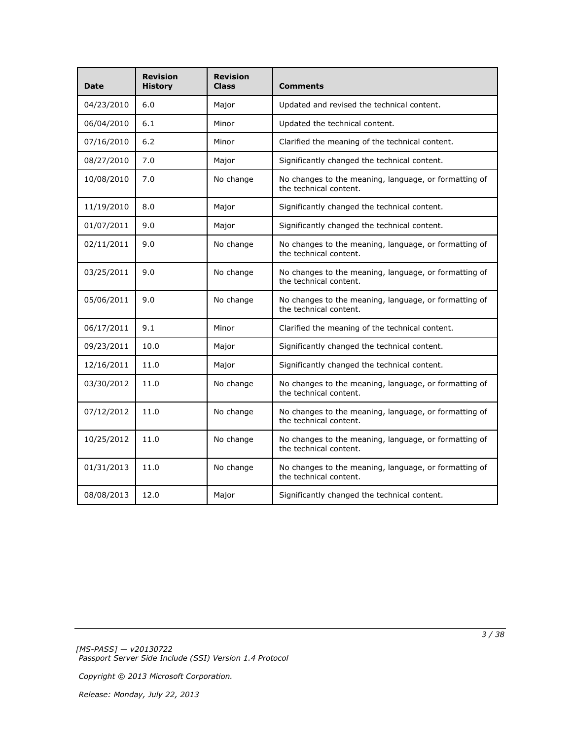| Date       | <b>Revision</b><br><b>History</b> | <b>Revision</b><br><b>Class</b> | Comments                                                                        |  |
|------------|-----------------------------------|---------------------------------|---------------------------------------------------------------------------------|--|
| 04/23/2010 | 6.0                               | Major                           | Updated and revised the technical content.                                      |  |
| 06/04/2010 | 6.1                               | Minor                           | Updated the technical content.                                                  |  |
| 07/16/2010 | 6.2                               | Minor                           | Clarified the meaning of the technical content.                                 |  |
| 08/27/2010 | 7.0                               | Major                           | Significantly changed the technical content.                                    |  |
| 10/08/2010 | 7.0                               | No change                       | No changes to the meaning, language, or formatting of<br>the technical content. |  |
| 11/19/2010 | 8.0                               | Major                           | Significantly changed the technical content.                                    |  |
| 01/07/2011 | 9.0                               | Major                           | Significantly changed the technical content.                                    |  |
| 02/11/2011 | 9.0                               | No change                       | No changes to the meaning, language, or formatting of<br>the technical content. |  |
| 03/25/2011 | 9.0                               | No change                       | No changes to the meaning, language, or formatting of<br>the technical content. |  |
| 05/06/2011 | 9.0                               | No change                       | No changes to the meaning, language, or formatting of<br>the technical content. |  |
| 06/17/2011 | 9.1                               | Minor                           | Clarified the meaning of the technical content.                                 |  |
| 09/23/2011 | 10.0                              | Major                           | Significantly changed the technical content.                                    |  |
| 12/16/2011 | 11.0                              | Major                           | Significantly changed the technical content.                                    |  |
| 03/30/2012 | 11.0                              | No change                       | No changes to the meaning, language, or formatting of<br>the technical content. |  |
| 07/12/2012 | 11.0                              | No change                       | No changes to the meaning, language, or formatting of<br>the technical content. |  |
| 10/25/2012 | 11.0                              | No change                       | No changes to the meaning, language, or formatting of<br>the technical content. |  |
| 01/31/2013 | 11.0                              | No change                       | No changes to the meaning, language, or formatting of<br>the technical content. |  |
| 08/08/2013 | 12.0                              | Major                           | Significantly changed the technical content.                                    |  |

*[MS-PASS] — v20130722 Passport Server Side Include (SSI) Version 1.4 Protocol*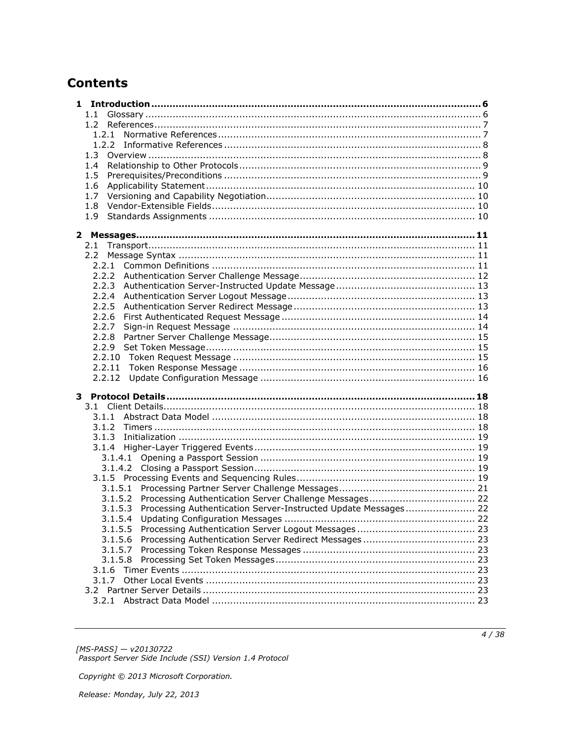# **Contents**

| 1.1                                                                    |  |
|------------------------------------------------------------------------|--|
|                                                                        |  |
|                                                                        |  |
|                                                                        |  |
| 1.3                                                                    |  |
| 1.4                                                                    |  |
| 1.5                                                                    |  |
| 1.6                                                                    |  |
| 1.7                                                                    |  |
| 1.8                                                                    |  |
| 1.9                                                                    |  |
|                                                                        |  |
|                                                                        |  |
| 2.1                                                                    |  |
| $2.2^{\circ}$                                                          |  |
|                                                                        |  |
|                                                                        |  |
|                                                                        |  |
| 2.2.4                                                                  |  |
| 2.2.5                                                                  |  |
| 2.2.6                                                                  |  |
| 2.2.7                                                                  |  |
|                                                                        |  |
|                                                                        |  |
|                                                                        |  |
| 2.2.11                                                                 |  |
| 2.2.12                                                                 |  |
|                                                                        |  |
|                                                                        |  |
|                                                                        |  |
|                                                                        |  |
|                                                                        |  |
|                                                                        |  |
| 3.1.4.1                                                                |  |
|                                                                        |  |
|                                                                        |  |
|                                                                        |  |
| 3.1.5.2                                                                |  |
| 3.1.5.3 Processing Authentication Server-Instructed Update Messages 22 |  |
| 3.1.5.4                                                                |  |
| 3.1.5.5                                                                |  |
| 3.1.5.6                                                                |  |
| 3.1.5.7                                                                |  |
| 3.1.5.8                                                                |  |
| 3.1.6                                                                  |  |
| 3.1.7                                                                  |  |
| 3.2                                                                    |  |
|                                                                        |  |
|                                                                        |  |

[MS-PASS] — v20130722<br>Passport Server Side Include (SSI) Version 1.4 Protocol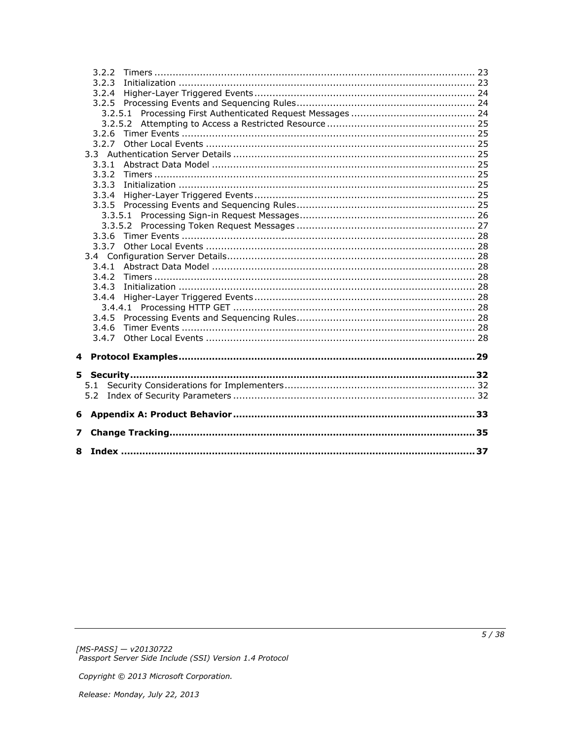|   | 3.2.2 |  |
|---|-------|--|
|   | 3.2.3 |  |
|   | 3.2.4 |  |
|   |       |  |
|   |       |  |
|   |       |  |
|   |       |  |
|   | 3.2.7 |  |
|   |       |  |
|   |       |  |
|   | 3.3.2 |  |
|   | 3.3.3 |  |
|   | 3.3.4 |  |
|   |       |  |
|   |       |  |
|   |       |  |
|   | 3.3.6 |  |
|   | 3.3.7 |  |
|   |       |  |
|   | 3.4.1 |  |
|   | 3.4.2 |  |
|   | 3.4.3 |  |
|   | 3.4.4 |  |
|   |       |  |
|   | 3.4.5 |  |
|   | 3.4.6 |  |
|   | 3.4.7 |  |
| 4 |       |  |
|   |       |  |
|   | 5.1   |  |
|   |       |  |
|   |       |  |
| 6 |       |  |
| 7 |       |  |
|   |       |  |
|   |       |  |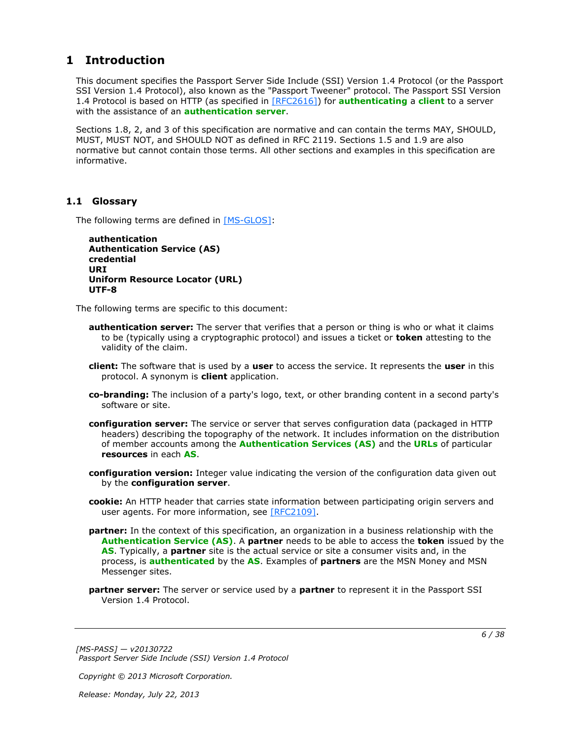# <span id="page-5-0"></span>**1 Introduction**

<span id="page-5-11"></span>This document specifies the Passport Server Side Include (SSI) Version 1.4 Protocol (or the Passport SSI Version 1.4 Protocol), also known as the "Passport Tweener" protocol. The Passport SSI Version 1.4 Protocol is based on HTTP (as specified in [\[RFC2616\]\)](http://go.microsoft.com/fwlink/?LinkId=90372) for **[authenticating](%5bMS-GLOS%5d.pdf)** a **[client](#page-5-2)** to a server with the assistance of an **[authentication server](#page-5-3)**.

Sections 1.8, 2, and 3 of this specification are normative and can contain the terms MAY, SHOULD, MUST, MUST NOT, and SHOULD NOT as defined in RFC 2119. Sections 1.5 and 1.9 are also normative but cannot contain those terms. All other sections and examples in this specification are informative.

# <span id="page-5-1"></span>**1.1 Glossary**

The following terms are defined in [\[MS-GLOS\]:](%5bMS-GLOS%5d.pdf)

```
authentication
Authentication Service (AS)
credential
URI
Uniform Resource Locator (URL)
UTF-8
```
The following terms are specific to this document:

- <span id="page-5-3"></span>**authentication server:** The server that verifies that a person or thing is who or what it claims to be (typically using a cryptographic protocol) and issues a ticket or **token** attesting to the validity of the claim.
- <span id="page-5-2"></span>**client:** The software that is used by a **user** to access the service. It represents the **user** in this protocol. A synonym is **client** application.
- <span id="page-5-9"></span>**co-branding:** The inclusion of a party's logo, text, or other branding content in a second party's software or site.
- <span id="page-5-7"></span>**configuration server:** The service or server that serves configuration data (packaged in HTTP headers) describing the topography of the network. It includes information on the distribution of member accounts among the **[Authentication Services \(AS\)](%5bMS-GLOS%5d.pdf)** and the **[URLs](%5bMS-GLOS%5d.pdf)** of particular **resources** in each **[AS](%5bMS-GLOS%5d.pdf)**.
- <span id="page-5-8"></span>**configuration version:** Integer value indicating the version of the configuration data given out by the **configuration server**.
- <span id="page-5-6"></span>**cookie:** An HTTP header that carries state information between participating origin servers and user agents. For more information, see [\[RFC2109\].](http://go.microsoft.com/fwlink/?LinkId=90315)
- <span id="page-5-5"></span>**partner:** In the context of this specification, an organization in a business relationship with the **[Authentication Service \(AS\)](%5bMS-GLOS%5d.pdf)**. A **partner** needs to be able to access the **token** issued by the **[AS](%5bMS-GLOS%5d.pdf)**. Typically, a **partner** site is the actual service or site a consumer visits and, in the process, is **[authenticated](%5bMS-GLOS%5d.pdf)** by the **[AS](%5bMS-GLOS%5d.pdf)**. Examples of **partners** are the MSN Money and MSN Messenger sites.
- <span id="page-5-4"></span>**partner server:** The server or service used by a **partner** to represent it in the Passport SSI Version 1.4 Protocol.

*[MS-PASS] — v20130722 Passport Server Side Include (SSI) Version 1.4 Protocol*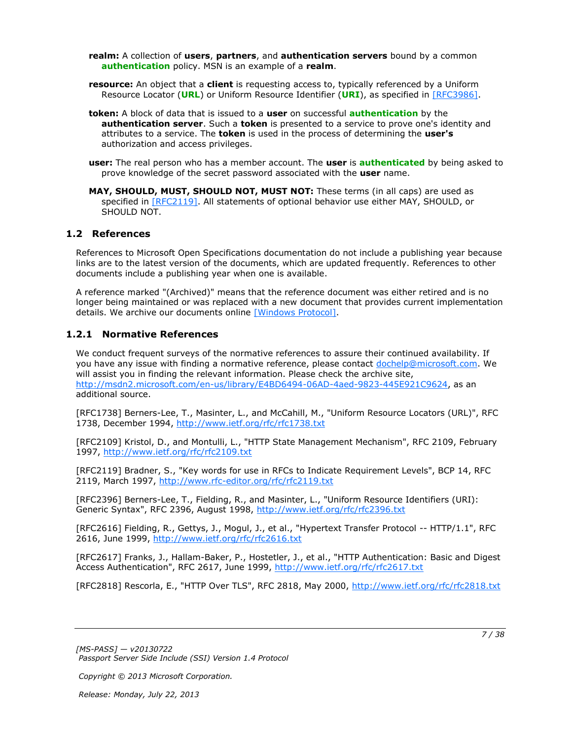<span id="page-6-4"></span>**realm:** A collection of **users**, **partners**, and **authentication servers** bound by a common **[authentication](%5bMS-GLOS%5d.pdf)** policy. MSN is an example of a **realm**.

- <span id="page-6-5"></span>**resource:** An object that a **client** is requesting access to, typically referenced by a Uniform Resource Locator (**[URL](%5bMS-GLOS%5d.pdf)**) or Uniform Resource Identifier (**[URI](%5bMS-GLOS%5d.pdf)**), as specified in [\[RFC3986\].](http://go.microsoft.com/fwlink/?LinkId=90453)
- <span id="page-6-2"></span>**token:** A block of data that is issued to a **user** on successful **[authentication](%5bMS-GLOS%5d.pdf)** by the **authentication server**. Such a **token** is presented to a service to prove one's identity and attributes to a service. The **token** is used in the process of determining the **user's** authorization and access privileges.
- <span id="page-6-3"></span>**user:** The real person who has a member account. The **user** is **[authenticated](%5bMS-GLOS%5d.pdf)** by being asked to prove knowledge of the secret password associated with the **user** name.
- **MAY, SHOULD, MUST, SHOULD NOT, MUST NOT:** These terms (in all caps) are used as specified in [\[RFC2119\].](http://go.microsoft.com/fwlink/?LinkId=90317) All statements of optional behavior use either MAY, SHOULD, or SHOULD NOT.

### <span id="page-6-0"></span>**1.2 References**

References to Microsoft Open Specifications documentation do not include a publishing year because links are to the latest version of the documents, which are updated frequently. References to other documents include a publishing year when one is available.

A reference marked "(Archived)" means that the reference document was either retired and is no longer being maintained or was replaced with a new document that provides current implementation details. We archive our documents online [\[Windows Protocol\].](http://msdn.microsoft.com/en-us/library/jj633107.aspx)

### <span id="page-6-1"></span>**1.2.1 Normative References**

<span id="page-6-6"></span>We conduct frequent surveys of the normative references to assure their continued availability. If you have any issue with finding a normative reference, please contact [dochelp@microsoft.com.](mailto:dochelp@microsoft.com) We will assist you in finding the relevant information. Please check the archive site, [http://msdn2.microsoft.com/en-us/library/E4BD6494-06AD-4aed-9823-445E921C9624,](http://msdn2.microsoft.com/en-us/library/E4BD6494-06AD-4aed-9823-445E921C9624) as an additional source.

[RFC1738] Berners-Lee, T., Masinter, L., and McCahill, M., "Uniform Resource Locators (URL)", RFC 1738, December 1994, [http://www.ietf.org/rfc/rfc1738.txt](http://go.microsoft.com/fwlink/?LinkId=90287)

[RFC2109] Kristol, D., and Montulli, L., "HTTP State Management Mechanism", RFC 2109, February 1997, [http://www.ietf.org/rfc/rfc2109.txt](http://go.microsoft.com/fwlink/?LinkId=90315)

[RFC2119] Bradner, S., "Key words for use in RFCs to Indicate Requirement Levels", BCP 14, RFC 2119, March 1997, [http://www.rfc-editor.org/rfc/rfc2119.txt](http://go.microsoft.com/fwlink/?LinkId=90317)

[RFC2396] Berners-Lee, T., Fielding, R., and Masinter, L., "Uniform Resource Identifiers (URI): Generic Syntax", RFC 2396, August 1998, [http://www.ietf.org/rfc/rfc2396.txt](http://go.microsoft.com/fwlink/?LinkId=90339)

[RFC2616] Fielding, R., Gettys, J., Mogul, J., et al., "Hypertext Transfer Protocol -- HTTP/1.1", RFC 2616, June 1999, [http://www.ietf.org/rfc/rfc2616.txt](http://go.microsoft.com/fwlink/?LinkId=90372)

[RFC2617] Franks, J., Hallam-Baker, P., Hostetler, J., et al., "HTTP Authentication: Basic and Digest Access Authentication", RFC 2617, June 1999, [http://www.ietf.org/rfc/rfc2617.txt](http://go.microsoft.com/fwlink/?LinkId=90373)

[RFC2818] Rescorla, E., "HTTP Over TLS", RFC 2818, May 2000, [http://www.ietf.org/rfc/rfc2818.txt](http://go.microsoft.com/fwlink/?LinkId=90383)

*[MS-PASS] — v20130722 Passport Server Side Include (SSI) Version 1.4 Protocol* 

*Copyright © 2013 Microsoft Corporation.*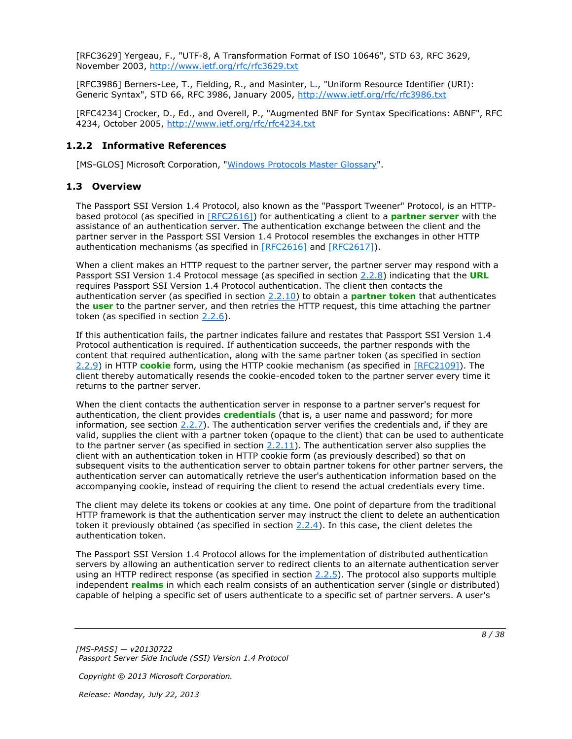[RFC3629] Yergeau, F., "UTF-8, A Transformation Format of ISO 10646", STD 63, RFC 3629, November 2003, [http://www.ietf.org/rfc/rfc3629.txt](http://go.microsoft.com/fwlink/?LinkId=90439)

[RFC3986] Berners-Lee, T., Fielding, R., and Masinter, L., "Uniform Resource Identifier (URI): Generic Syntax", STD 66, RFC 3986, January 2005, [http://www.ietf.org/rfc/rfc3986.txt](http://go.microsoft.com/fwlink/?LinkId=90453)

[RFC4234] Crocker, D., Ed., and Overell, P., "Augmented BNF for Syntax Specifications: ABNF", RFC 4234, October 2005, [http://www.ietf.org/rfc/rfc4234.txt](http://go.microsoft.com/fwlink/?LinkId=90462)

## <span id="page-7-0"></span>**1.2.2 Informative References**

<span id="page-7-3"></span><span id="page-7-2"></span>[MS-GLOS] Microsoft Corporation, ["Windows Protocols Master Glossary"](%5bMS-GLOS%5d.pdf).

### <span id="page-7-1"></span>**1.3 Overview**

The Passport SSI Version 1.4 Protocol, also known as the "Passport Tweener" Protocol, is an HTTPbased protocol (as specified in [\[RFC2616\]\)](http://go.microsoft.com/fwlink/?LinkId=90372) for authenticating a client to a **[partner server](#page-5-4)** with the assistance of an authentication server. The authentication exchange between the client and the partner server in the Passport SSI Version 1.4 Protocol resembles the exchanges in other HTTP authentication mechanisms (as specified in [\[RFC2616\]](http://go.microsoft.com/fwlink/?LinkId=90372) and [\[RFC2617\]\)](http://go.microsoft.com/fwlink/?LinkId=90373).

When a client makes an HTTP request to the partner server, the partner server may respond with a Passport SSI Version 1.4 Protocol message (as specified in section [2.2.8\)](#page-14-3) indicating that the **[URL](%5bMS-GLOS%5d.pdf)** requires Passport SSI Version 1.4 Protocol authentication. The client then contacts the authentication server (as specified in section [2.2.10\)](#page-14-4) to obtain a **[partner](#page-5-5) [token](#page-6-2)** that authenticates the **[user](#page-6-3)** to the partner server, and then retries the HTTP request, this time attaching the partner token (as specified in section  $2.2.6$ ).

If this authentication fails, the partner indicates failure and restates that Passport SSI Version 1.4 Protocol authentication is required. If authentication succeeds, the partner responds with the content that required authentication, along with the same partner token (as specified in section [2.2.9\)](#page-14-5) in HTTP **[cookie](#page-5-6)** form, using the HTTP cookie mechanism (as specified in [\[RFC2109\]\)](http://go.microsoft.com/fwlink/?LinkId=90315). The client thereby automatically resends the cookie-encoded token to the partner server every time it returns to the partner server.

When the client contacts the authentication server in response to a partner server's request for authentication, the client provides **[credentials](%5bMS-GLOS%5d.pdf)** (that is, a user name and password; for more information, see section  $2.2.7$ ). The authentication server verifies the credentials and, if they are valid, supplies the client with a partner token (opaque to the client) that can be used to authenticate to the partner server (as specified in section [2.2.11\)](#page-15-2). The authentication server also supplies the client with an authentication token in HTTP cookie form (as previously described) so that on subsequent visits to the authentication server to obtain partner tokens for other partner servers, the authentication server can automatically retrieve the user's authentication information based on the accompanying cookie, instead of requiring the client to resend the actual credentials every time.

The client may delete its tokens or cookies at any time. One point of departure from the traditional HTTP framework is that the authentication server may instruct the client to delete an authentication token it previously obtained (as specified in section [2.2.4\)](#page-12-3). In this case, the client deletes the authentication token.

The Passport SSI Version 1.4 Protocol allows for the implementation of distributed authentication servers by allowing an authentication server to redirect clients to an alternate authentication server using an HTTP redirect response (as specified in section  $2.2.5$ ). The protocol also supports multiple independent **[realms](#page-6-4)** in which each realm consists of an authentication server (single or distributed) capable of helping a specific set of users authenticate to a specific set of partner servers. A user's

*[MS-PASS] — v20130722 Passport Server Side Include (SSI) Version 1.4 Protocol* 

*Copyright © 2013 Microsoft Corporation.*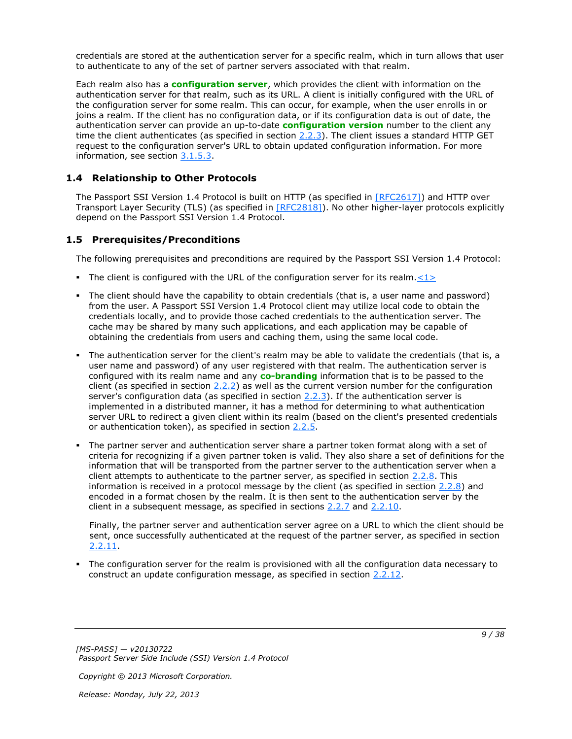credentials are stored at the authentication server for a specific realm, which in turn allows that user to authenticate to any of the set of partner servers associated with that realm.

Each realm also has a **[configuration server](#page-5-7)**, which provides the client with information on the authentication server for that realm, such as its URL. A client is initially configured with the URL of the configuration server for some realm. This can occur, for example, when the user enrolls in or joins a realm. If the client has no configuration data, or if its configuration data is out of date, the authentication server can provide an up-to-date **[configuration version](#page-5-8)** number to the client any time the client authenticates (as specified in section  $2.2.3$ ). The client issues a standard HTTP GET request to the configuration server's URL to obtain updated configuration information. For more information, see section [3.1.5.3.](#page-21-3)

# <span id="page-8-0"></span>**1.4 Relationship to Other Protocols**

<span id="page-8-4"></span>The Passport SSI Version 1.4 Protocol is built on HTTP (as specified in [\[RFC2617\]\)](http://go.microsoft.com/fwlink/?LinkId=90373) and HTTP over Transport Layer Security (TLS) (as specified in [\[RFC2818\]\)](http://go.microsoft.com/fwlink/?LinkId=90383). No other higher-layer protocols explicitly depend on the Passport SSI Version 1.4 Protocol.

# <span id="page-8-1"></span>**1.5 Prerequisites/Preconditions**

<span id="page-8-2"></span>The following prerequisites and preconditions are required by the Passport SSI Version 1.4 Protocol:

- <span id="page-8-3"></span>The client is configured with the URL of the configuration server for its realm. $\leq 1$
- The client should have the capability to obtain credentials (that is, a user name and password) from the user. A Passport SSI Version 1.4 Protocol client may utilize local code to obtain the credentials locally, and to provide those cached credentials to the authentication server. The cache may be shared by many such applications, and each application may be capable of obtaining the credentials from users and caching them, using the same local code.
- The authentication server for the client's realm may be able to validate the credentials (that is, a user name and password) of any user registered with that realm. The authentication server is configured with its realm name and any **[co-branding](#page-5-9)** information that is to be passed to the client (as specified in section [2.2.2\)](#page-11-1) as well as the current version number for the configuration server's configuration data (as specified in section [2.2.3\)](#page-12-5). If the authentication server is implemented in a distributed manner, it has a method for determining to what authentication server URL to redirect a given client within its realm (based on the client's presented credentials or authentication token), as specified in section [2.2.5.](#page-12-4)
- The partner server and authentication server share a partner token format along with a set of criteria for recognizing if a given partner token is valid. They also share a set of definitions for the information that will be transported from the partner server to the authentication server when a client attempts to authenticate to the partner server, as specified in section  $2.2.8$ . This information is received in a protocol message by the client (as specified in section  $2.2.8$ ) and encoded in a format chosen by the realm. It is then sent to the authentication server by the client in a subsequent message, as specified in sections [2.2.7](#page-13-3) and [2.2.10.](#page-14-4)

Finally, the partner server and authentication server agree on a URL to which the client should be sent, once successfully authenticated at the request of the partner server, as specified in section [2.2.11.](#page-15-2)

 The configuration server for the realm is provisioned with all the configuration data necessary to construct an update configuration message, as specified in section [2.2.12.](#page-15-3)

*[MS-PASS] — v20130722 Passport Server Side Include (SSI) Version 1.4 Protocol* 

*Copyright © 2013 Microsoft Corporation.*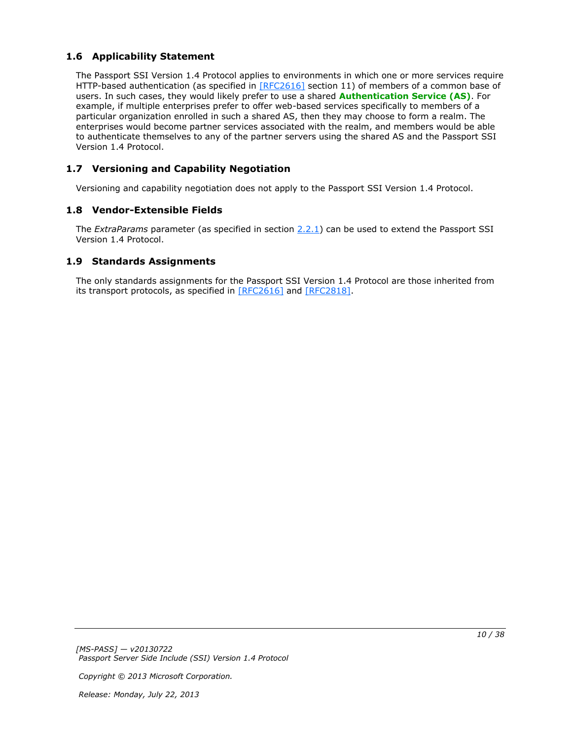# <span id="page-9-0"></span>**1.6 Applicability Statement**

<span id="page-9-4"></span>The Passport SSI Version 1.4 Protocol applies to environments in which one or more services require HTTP-based authentication (as specified in [\[RFC2616\]](http://go.microsoft.com/fwlink/?LinkId=90372) section 11) of members of a common base of users. In such cases, they would likely prefer to use a shared **[Authentication Service \(AS\)](%5bMS-GLOS%5d.pdf)**. For example, if multiple enterprises prefer to offer web-based services specifically to members of a particular organization enrolled in such a shared AS, then they may choose to form a realm. The enterprises would become partner services associated with the realm, and members would be able to authenticate themselves to any of the partner servers using the shared AS and the Passport SSI Version 1.4 Protocol.

# <span id="page-9-1"></span>**1.7 Versioning and Capability Negotiation**

<span id="page-9-6"></span><span id="page-9-5"></span>Versioning and capability negotiation does not apply to the Passport SSI Version 1.4 Protocol.

# <span id="page-9-2"></span>**1.8 Vendor-Extensible Fields**

The *ExtraParams* parameter (as specified in section [2.2.1\)](#page-10-4) can be used to extend the Passport SSI Version 1.4 Protocol.

## <span id="page-9-3"></span>**1.9 Standards Assignments**

<span id="page-9-7"></span>The only standards assignments for the Passport SSI Version 1.4 Protocol are those inherited from its transport protocols, as specified in [\[RFC2616\]](http://go.microsoft.com/fwlink/?LinkId=90372) and [\[RFC2818\].](http://go.microsoft.com/fwlink/?LinkId=90383)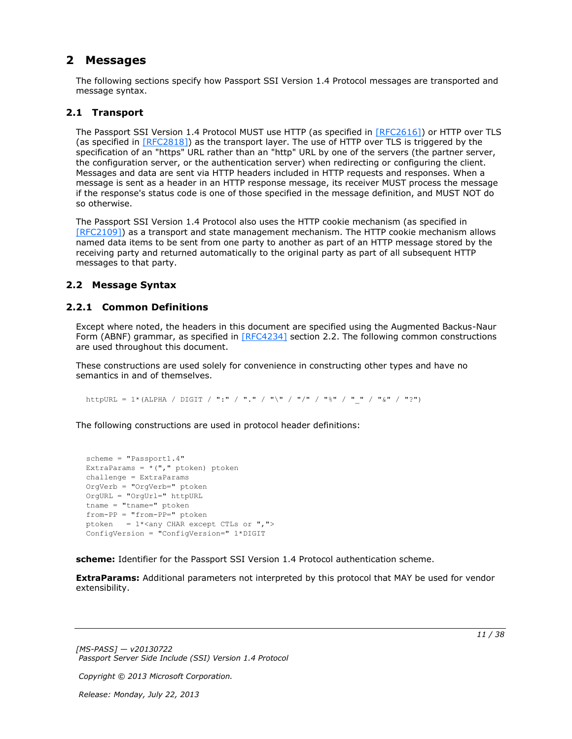# <span id="page-10-0"></span>**2 Messages**

<span id="page-10-5"></span>The following sections specify how Passport SSI Version 1.4 Protocol messages are transported and message syntax.

# <span id="page-10-1"></span>**2.1 Transport**

<span id="page-10-7"></span>The Passport SSI Version 1.4 Protocol MUST use HTTP (as specified in [\[RFC2616\]\)](http://go.microsoft.com/fwlink/?LinkId=90372) or HTTP over TLS (as specified in  $[REC2818]$ ) as the transport layer. The use of HTTP over TLS is triggered by the specification of an "https" URL rather than an "http" URL by one of the servers (the partner server, the configuration server, or the authentication server) when redirecting or configuring the client. Messages and data are sent via HTTP headers included in HTTP requests and responses. When a message is sent as a header in an HTTP response message, its receiver MUST process the message if the response's status code is one of those specified in the message definition, and MUST NOT do so otherwise.

The Passport SSI Version 1.4 Protocol also uses the HTTP cookie mechanism (as specified in [\[RFC2109\]\)](http://go.microsoft.com/fwlink/?LinkId=90315) as a transport and state management mechanism. The HTTP cookie mechanism allows named data items to be sent from one party to another as part of an HTTP message stored by the receiving party and returned automatically to the original party as part of all subsequent HTTP messages to that party.

# <span id="page-10-6"></span><span id="page-10-2"></span>**2.2 Message Syntax**

# <span id="page-10-3"></span>**2.2.1 Common Definitions**

<span id="page-10-4"></span>Except where noted, the headers in this document are specified using the Augmented Backus-Naur Form (ABNF) grammar, as specified in  $[REC4234]$  section 2.2. The following common constructions are used throughout this document.

These constructions are used solely for convenience in constructing other types and have no semantics in and of themselves.

httpURL = 1\*(ALPHA / DIGIT / ":" / "." / "\" / "/" / "%" / "\_" / "&" / "?")

The following constructions are used in protocol header definitions:

```
scheme = "Passport1.4"
ExtraParams = *(", "ptoken) ptoken
challenge = ExtraParams
OrgVerb = "OrgVerb=" ptoken 
OrgURL = "OrgUrl=" httpURL
tname = "tname=" ptoken
from-PP = "from-PP=" ptoken
ptoken = 1*<any CHAR except CTLs or ", ">
ConfigVersion = "ConfigVersion=" 1*DIGIT
```
**scheme:** Identifier for the Passport SSI Version 1.4 Protocol authentication scheme.

**ExtraParams:** Additional parameters not interpreted by this protocol that MAY be used for vendor extensibility.

*[MS-PASS] — v20130722 Passport Server Side Include (SSI) Version 1.4 Protocol* 

*Copyright © 2013 Microsoft Corporation.*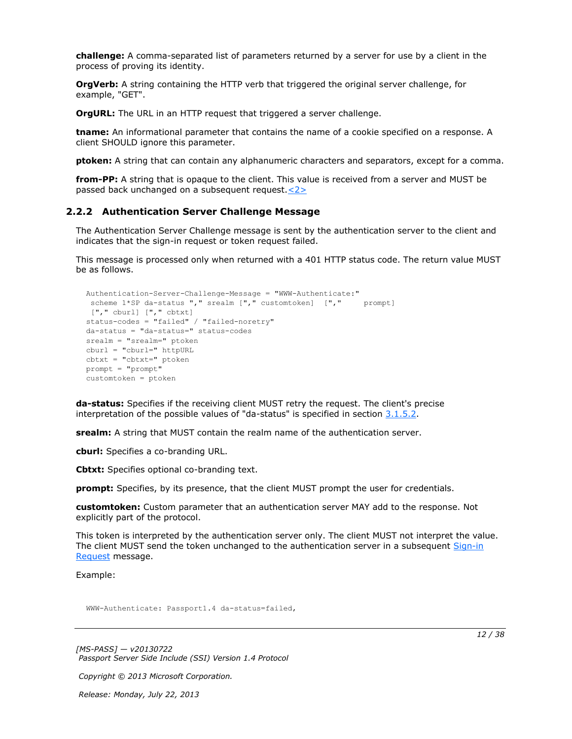**challenge:** A comma-separated list of parameters returned by a server for use by a client in the process of proving its identity.

**OrgVerb:** A string containing the HTTP verb that triggered the original server challenge, for example, "GET".

**OrgURL:** The URL in an HTTP request that triggered a server challenge.

**tname:** An informational parameter that contains the name of a cookie specified on a response. A client SHOULD ignore this parameter.

**ptoken:** A string that can contain any alphanumeric characters and separators, except for a comma.

<span id="page-11-2"></span>**from-PP:** A string that is opaque to the client. This value is received from a server and MUST be passed back unchanged on a subsequent request[.<2>](#page-32-2)

#### <span id="page-11-0"></span>**2.2.2 Authentication Server Challenge Message**

<span id="page-11-1"></span>The Authentication Server Challenge message is sent by the authentication server to the client and indicates that the sign-in request or token request failed.

This message is processed only when returned with a 401 HTTP status code. The return value MUST be as follows.

```
Authentication-Server-Challenge-Message = "WWW-Authenticate:"
 scheme 1*SP da-status "," srealm ["," customtoken] ["," prompt]
["," cburl] ["," cbtxt] 
status-codes = "failed" / "failed-noretry"
da-status = "da-status=" status-codes
srealm = "srealm=" ptoken
cburl = "cburl=" httpURL
cbtxt = "cbtxt=" ptoken
prompt = "prompt"
customtoken = ptoken
```
**da-status:** Specifies if the receiving client MUST retry the request. The client's precise interpretation of the possible values of "da-status" is specified in section  $3.1.5.2$ .

**srealm:** A string that MUST contain the realm name of the authentication server.

**cburl:** Specifies a co-branding URL.

**Cbtxt:** Specifies optional co-branding text.

**prompt:** Specifies, by its presence, that the client MUST prompt the user for credentials.

**customtoken:** Custom parameter that an authentication server MAY add to the response. Not explicitly part of the protocol.

This token is interpreted by the authentication server only. The client MUST not interpret the value. The client MUST send the token unchanged to the authentication server in a subsequent Sign-in [Request](#page-13-3) message.

Example:

WWW-Authenticate: Passport1.4 da-status=failed,

*[MS-PASS] — v20130722 Passport Server Side Include (SSI) Version 1.4 Protocol* 

*Copyright © 2013 Microsoft Corporation.*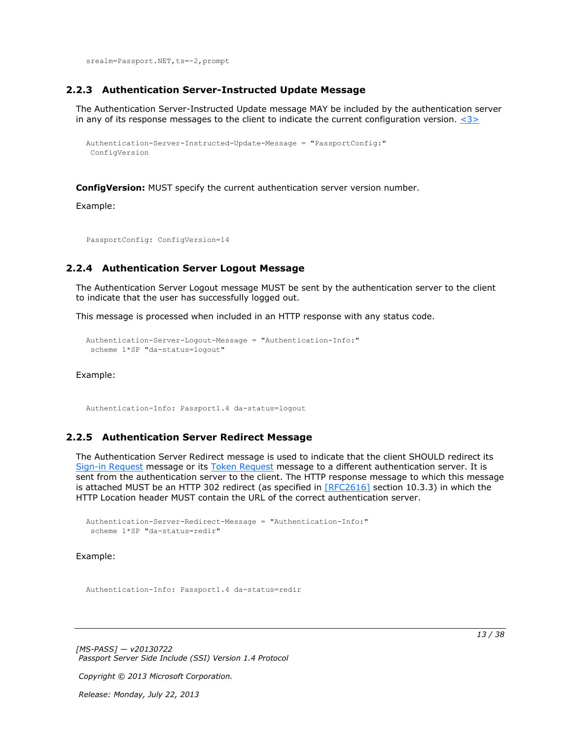<span id="page-12-5"></span>srealm=Passport.NET, ts = - 2, prompt

#### <span id="page-12-0"></span>**2.2.3 Authentication Server-Instructed Update Message**

The Authentication Server-Instructed Update message MAY be included by the authentication server in any of its response messages to the client to indicate the current configuration version.  $\langle 3 \rangle$ 

```
Authentication-Server-Instructed-Update-Message = "PassportConfig:"
ConfigVersion
```
**ConfigVersion:** MUST specify the current authentication server version number.

Example:

<span id="page-12-3"></span>PassportConfig: ConfigVersion=14

### <span id="page-12-1"></span>**2.2.4 Authentication Server Logout Message**

The Authentication Server Logout message MUST be sent by the authentication server to the client to indicate that the user has successfully logged out.

This message is processed when included in an HTTP response with any status code.

```
Authentication-Server-Logout-Message = "Authentication-Info:"
scheme 1*SP "da-status=logout"
```
Example:

<span id="page-12-4"></span>Authentication-Info: Passport1.4 da-status=logout

## <span id="page-12-2"></span>**2.2.5 Authentication Server Redirect Message**

The Authentication Server Redirect message is used to indicate that the client SHOULD redirect its [Sign-in Request](#page-13-3) message or its [Token Request](#page-14-4) message to a different authentication server. It is sent from the authentication server to the client. The HTTP response message to which this message is attached MUST be an HTTP 302 redirect (as specified in [\[RFC2616\]](http://go.microsoft.com/fwlink/?LinkId=90372) section 10.3.3) in which the HTTP Location header MUST contain the URL of the correct authentication server.

```
Authentication-Server-Redirect-Message = "Authentication-Info:"
 scheme 1*SP "da-status=redir"
```
Example:

Authentication-Info: Passport1.4 da-status=redir

*[MS-PASS] — v20130722 Passport Server Side Include (SSI) Version 1.4 Protocol* 

*Copyright © 2013 Microsoft Corporation.*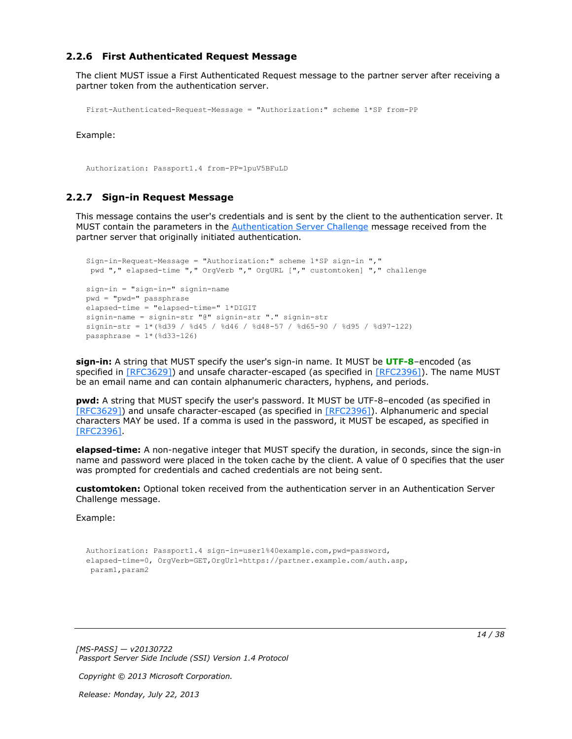## <span id="page-13-0"></span>**2.2.6 First Authenticated Request Message**

The client MUST issue a First Authenticated Request message to the partner server after receiving a partner token from the authentication server.

```
First-Authenticated-Request-Message = "Authorization:" scheme 1*SP from-PP
```
Example:

<span id="page-13-3"></span>Authorization: Passport1.4 from-PP=1puV5BFuLD

### <span id="page-13-1"></span>**2.2.7 Sign-in Request Message**

This message contains the user's credentials and is sent by the client to the authentication server. It MUST contain the parameters in the [Authentication Server Challenge](#page-11-1) message received from the partner server that originally initiated authentication.

```
Sign-in-Request-Message = "Authorization:" scheme 1*SP sign-in ","
 pwd "," elapsed-time "," OrgVerb "," OrgURL ["," customtoken] "," challenge
sign-in = "sign-in=" signin-name
pwd = "pwd=" passphrase
elapsed-time = "elapsed-time=" 1*DIGIT
signin-name = signin-str "@" signin-str "." signin-str
signin-str = 1*(%d39 / %d45 / %d46 / %d48-57 / %d65-90 / %d95 / %d97-122)
passphrase = 1*(8d33-126)
```
**sign-in:** A string that MUST specify the user's sign-in name. It MUST be **[UTF-8](%5bMS-GLOS%5d.pdf)**–encoded (as specified in [\[RFC3629\]\)](http://go.microsoft.com/fwlink/?LinkId=90439) and unsafe character-escaped (as specified in [\[RFC2396\]\)](http://go.microsoft.com/fwlink/?LinkId=90339). The name MUST be an email name and can contain alphanumeric characters, hyphens, and periods.

**pwd:** A string that MUST specify the user's password. It MUST be UTF-8–encoded (as specified in [\[RFC3629\]\)](http://go.microsoft.com/fwlink/?LinkId=90439) and unsafe character-escaped (as specified in [\[RFC2396\]\)](http://go.microsoft.com/fwlink/?LinkId=90339). Alphanumeric and special characters MAY be used. If a comma is used in the password, it MUST be escaped, as specified in [\[RFC2396\].](http://go.microsoft.com/fwlink/?LinkId=90339)

**elapsed-time:** A non-negative integer that MUST specify the duration, in seconds, since the sign-in name and password were placed in the token cache by the client. A value of 0 specifies that the user was prompted for credentials and cached credentials are not being sent.

**customtoken:** Optional token received from the authentication server in an Authentication Server Challenge message.

Example:

```
Authorization: Passport1.4 sign-in=user1%40example.com,pwd=password,
elapsed-time=0, OrgVerb=GET,OrgUrl=https://partner.example.com/auth.asp,
param1,param2
```
*[MS-PASS] — v20130722 Passport Server Side Include (SSI) Version 1.4 Protocol* 

*Copyright © 2013 Microsoft Corporation.*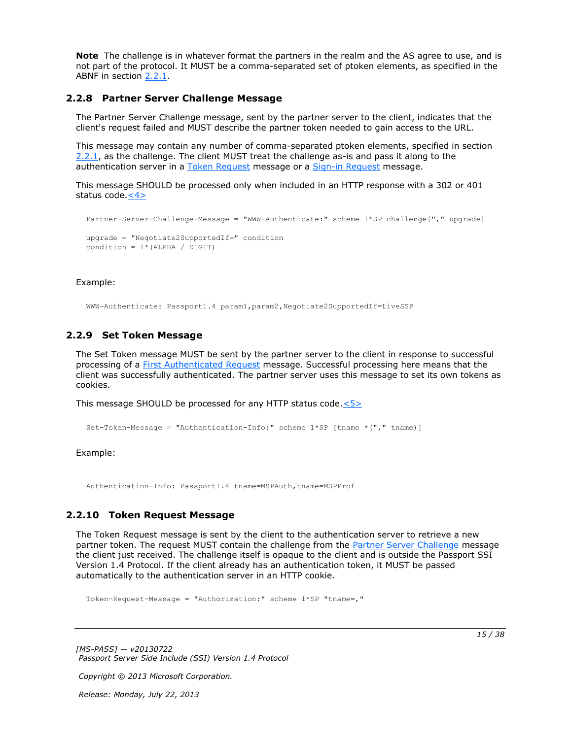**Note** The challenge is in whatever format the partners in the realm and the AS agree to use, and is not part of the protocol. It MUST be a comma-separated set of ptoken elements, as specified in the ABNF in section [2.2.1.](#page-10-4)

### <span id="page-14-0"></span>**2.2.8 Partner Server Challenge Message**

<span id="page-14-3"></span>The Partner Server Challenge message, sent by the partner server to the client, indicates that the client's request failed and MUST describe the partner token needed to gain access to the URL.

This message may contain any number of comma-separated ptoken elements, specified in section [2.2.1,](#page-10-4) as the challenge. The client MUST treat the challenge as-is and pass it along to the authentication server in a [Token Request](#page-14-4) message or a [Sign-in Request](#page-13-3) message.

This message SHOULD be processed only when included in an HTTP response with a 302 or 401 status code. $\leq 4>$ 

```
Partner-Server-Challenge-Message = "WWW-Authenticate:" scheme 1*SP challenge["," upgrade]
upgrade = "Negotiate2SupportedIf=" condition
condition = 1* (ALPHA / DIGIT)
```
#### Example:

<span id="page-14-5"></span>WWW-Authenticate: Passport1.4 param1,param2,Negotiate2SupportedIf=LiveSSP

#### <span id="page-14-1"></span>**2.2.9 Set Token Message**

The Set Token message MUST be sent by the partner server to the client in response to successful processing of a [First Authenticated Request](#page-13-2) message. Successful processing here means that the client was successfully authenticated. The partner server uses this message to set its own tokens as cookies.

This message SHOULD be processed for any HTTP status code[.<5>](#page-32-5)

```
Set-Token-Message = "Authentication-Info:" scheme 1*SP [tname *("," tname)]
```
#### Example:

<span id="page-14-4"></span>Authentication-Info: Passport1.4 tname=MSPAuth,tname=MSPProf

### <span id="page-14-2"></span>**2.2.10 Token Request Message**

The Token Request message is sent by the client to the authentication server to retrieve a new partner token. The request MUST contain the challenge from the [Partner Server Challenge](#page-14-3) message the client just received. The challenge itself is opaque to the client and is outside the Passport SSI Version 1.4 Protocol. If the client already has an authentication token, it MUST be passed automatically to the authentication server in an HTTP cookie.

Token-Request-Message = "Authorization:" scheme 1\*SP "tname=,"

*[MS-PASS] — v20130722 Passport Server Side Include (SSI) Version 1.4 Protocol* 

*Copyright © 2013 Microsoft Corporation.*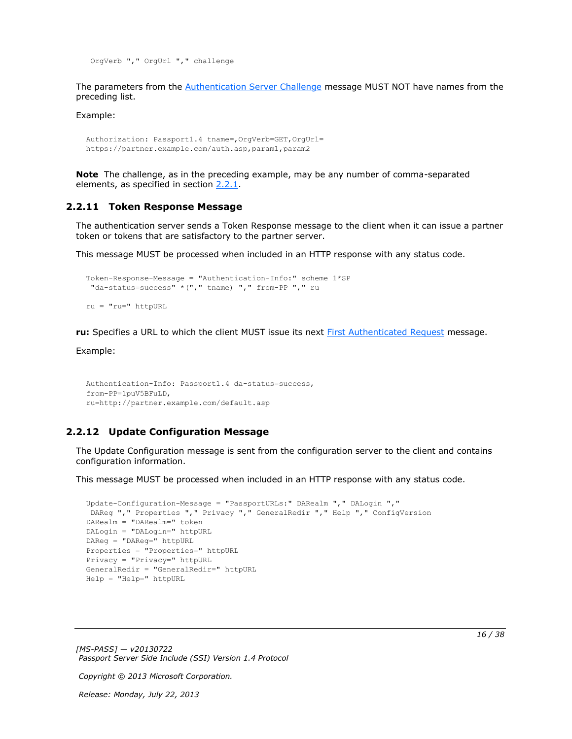OrgVerb "," OrgUrl "," challenge

The parameters from the [Authentication Server Challenge](#page-11-1) message MUST NOT have names from the preceding list.

Example:

```
Authorization: Passport1.4 tname=,OrgVerb=GET,OrgUrl=
https://partner.example.com/auth.asp,param1,param2
```
<span id="page-15-2"></span>**Note** The challenge, as in the preceding example, may be any number of comma-separated elements, as specified in section [2.2.1.](#page-10-4)

#### <span id="page-15-0"></span>**2.2.11 Token Response Message**

The authentication server sends a Token Response message to the client when it can issue a partner token or tokens that are satisfactory to the partner server.

This message MUST be processed when included in an HTTP response with any status code.

```
Token-Response-Message = "Authentication-Info:" scheme 1*SP
 "da-status=success" *("," tname) "," from-PP "," ru
ru = "ru=" httpURL
```
**ru:** Specifies a URL to which the client MUST issue its next [First Authenticated Request](#page-13-2) message.

Example:

```
Authentication-Info: Passport1.4 da-status=success,
from-PP=1puV5BFuLD,
ru=http://partner.example.com/default.asp
```
### <span id="page-15-1"></span>**2.2.12 Update Configuration Message**

The Update Configuration message is sent from the configuration server to the client and contains configuration information.

This message MUST be processed when included in an HTTP response with any status code.

```
Update-Configuration-Message = "PassportURLs:" DARealm "," DALogin ","
DAReg "," Properties "," Privacy "," GeneralRedir "," Help "," ConfigVersion
DARealm = "DARealm=" token
DALogin = "DALogin=" httpURL
DAReg = "DAReg=" httpURL
Properties = "Properties=" httpURL
Privacy = "Privacy=" httpURL
GeneralRedir = "GeneralRedir=" httpURL
Help = "Help=" httpURL
```
*[MS-PASS] — v20130722 Passport Server Side Include (SSI) Version 1.4 Protocol* 

*Copyright © 2013 Microsoft Corporation.*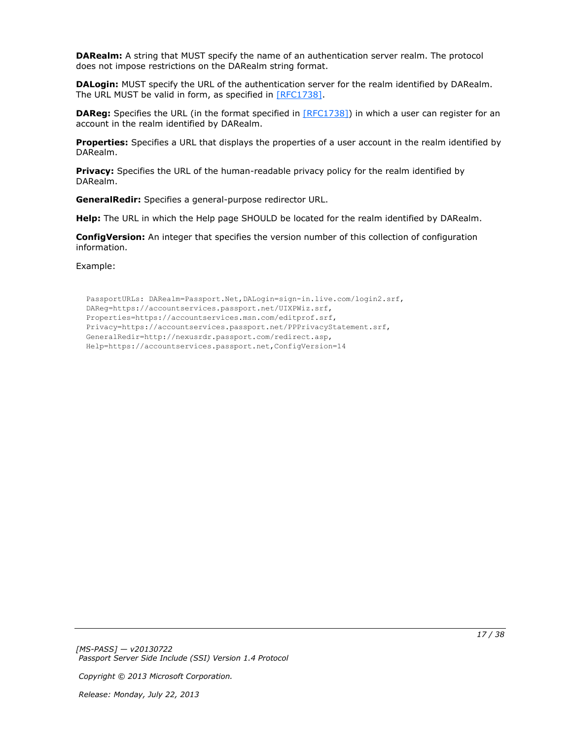**DARealm:** A string that MUST specify the name of an authentication server realm. The protocol does not impose restrictions on the DARealm string format.

**DALogin:** MUST specify the URL of the authentication server for the realm identified by DARealm. The URL MUST be valid in form, as specified in [\[RFC1738\].](http://go.microsoft.com/fwlink/?LinkId=90287)

**DAReg:** Specifies the URL (in the format specified in [\[RFC1738\]\)](http://go.microsoft.com/fwlink/?LinkId=90287) in which a user can register for an account in the realm identified by DARealm.

**Properties:** Specifies a URL that displays the properties of a user account in the realm identified by DARealm.

**Privacy:** Specifies the URL of the human-readable privacy policy for the realm identified by DARealm.

**GeneralRedir:** Specifies a general-purpose redirector URL.

**Help:** The URL in which the Help page SHOULD be located for the realm identified by DARealm.

**ConfigVersion:** An integer that specifies the version number of this collection of configuration information.

Example:

PassportURLs: DARealm=Passport.Net,DALogin=sign-in.live.com/login2.srf, DAReg=https://accountservices.passport.net/UIXPWiz.srf, Properties=https://accountservices.msn.com/editprof.srf, Privacy=https://accountservices.passport.net/PPPrivacyStatement.srf, GeneralRedir=http://nexusrdr.passport.com/redirect.asp, Help=https://accountservices.passport.net,ConfigVersion=14

*[MS-PASS] — v20130722 Passport Server Side Include (SSI) Version 1.4 Protocol* 

*Copyright © 2013 Microsoft Corporation.*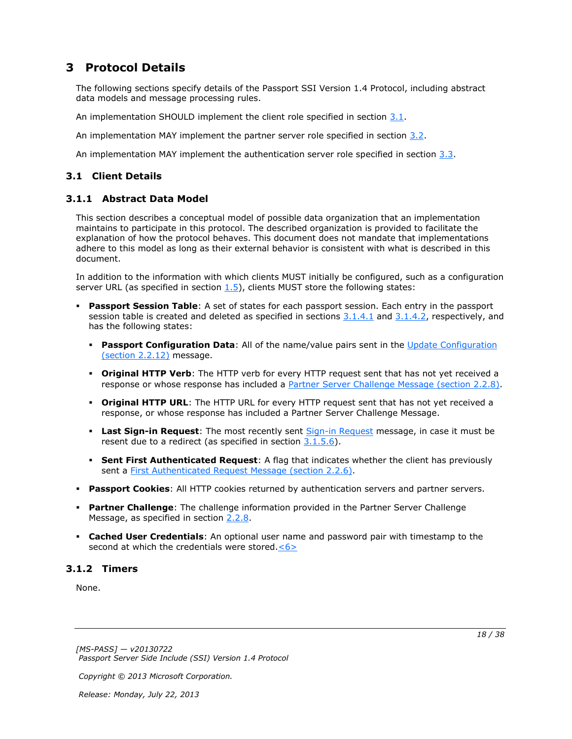# <span id="page-17-0"></span>**3 Protocol Details**

The following sections specify details of the Passport SSI Version 1.4 Protocol, including abstract data models and message processing rules.

An implementation SHOULD implement the client role specified in section [3.1.](#page-17-4)

An implementation MAY implement the partner server role specified in section [3.2.](#page-22-10)

<span id="page-17-4"></span>An implementation MAY implement the authentication server role specified in section  $3.3$ .

# <span id="page-17-1"></span>**3.1 Client Details**

# <span id="page-17-2"></span>**3.1.1 Abstract Data Model**

<span id="page-17-5"></span>This section describes a conceptual model of possible data organization that an implementation maintains to participate in this protocol. The described organization is provided to facilitate the explanation of how the protocol behaves. This document does not mandate that implementations adhere to this model as long as their external behavior is consistent with what is described in this document.

In addition to the information with which clients MUST initially be configured, such as a configuration server URL (as specified in section  $1.5$ ), clients MUST store the following states:

- **Passport Session Table**: A set of states for each passport session. Each entry in the passport session table is created and deleted as specified in sections  $3.1.4.1$  and  $3.1.4.2$ , respectively, and has the following states:
	- **Passport Configuration Data**: All of the name/value pairs sent in the Update Configuration [\(section 2.2.12\)](#page-15-3) message.
	- **Original HTTP Verb**: The HTTP verb for every HTTP request sent that has not yet received a response or whose response has included a [Partner Server Challenge Message \(section 2.2.8\).](#page-14-3)
	- **Original HTTP URL**: The HTTP URL for every HTTP request sent that has not yet received a response, or whose response has included a Partner Server Challenge Message.
	- **Last Sign-in Request**: The most recently sent [Sign-in Request](#page-13-3) message, in case it must be resent due to a redirect (as specified in section  $3.1.5.6$ ).
	- **Sent First Authenticated Request**: A flag that indicates whether the client has previously sent a [First Authenticated Request Message \(section 2.2.6\).](#page-13-2)
- **Passport Cookies**: All HTTP cookies returned by authentication servers and partner servers.
- **Partner Challenge**: The challenge information provided in the Partner Server Challenge Message, as specified in section [2.2.8.](#page-14-3)
- <span id="page-17-6"></span> **Cached User Credentials**: An optional user name and password pair with timestamp to the second at which the credentials were stored. $\leq 6$

# <span id="page-17-3"></span>**3.1.2 Timers**

<span id="page-17-7"></span>None.

*Copyright © 2013 Microsoft Corporation.*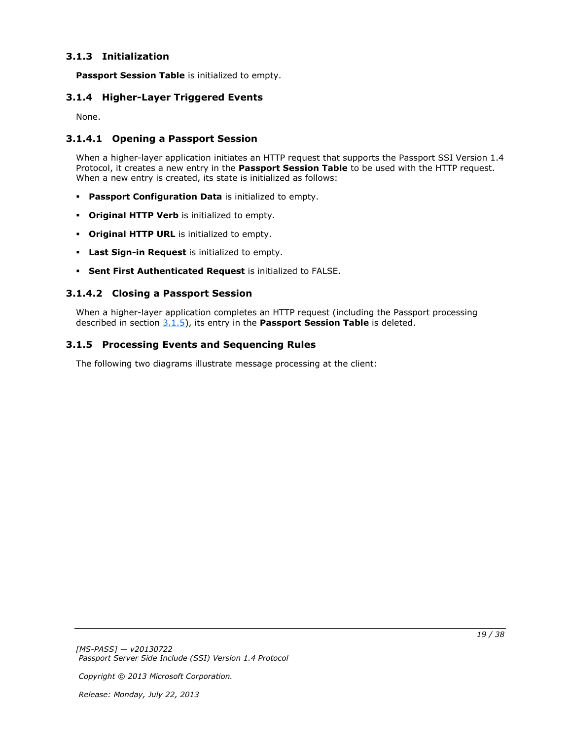# <span id="page-18-0"></span>**3.1.3 Initialization**

<span id="page-18-9"></span><span id="page-18-8"></span>**Passport Session Table** is initialized to empty.

# <span id="page-18-1"></span>**3.1.4 Higher-Layer Triggered Events**

<span id="page-18-5"></span>None.

# <span id="page-18-2"></span>**3.1.4.1 Opening a Passport Session**

When a higher-layer application initiates an HTTP request that supports the Passport SSI Version 1.4 Protocol, it creates a new entry in the **Passport Session Table** to be used with the HTTP request. When a new entry is created, its state is initialized as follows:

- **Passport Configuration Data** is initialized to empty.
- **Original HTTP Verb** is initialized to empty.
- **Original HTTP URL** is initialized to empty.
- **Last Sign-in Request** is initialized to empty.
- <span id="page-18-6"></span>**Sent First Authenticated Request** is initialized to FALSE.

# <span id="page-18-3"></span>**3.1.4.2 Closing a Passport Session**

<span id="page-18-7"></span>When a higher-layer application completes an HTTP request (including the Passport processing described in section [3.1.5\)](#page-18-7), its entry in the **Passport Session Table** is deleted.

# <span id="page-18-4"></span>**3.1.5 Processing Events and Sequencing Rules**

The following two diagrams illustrate message processing at the client: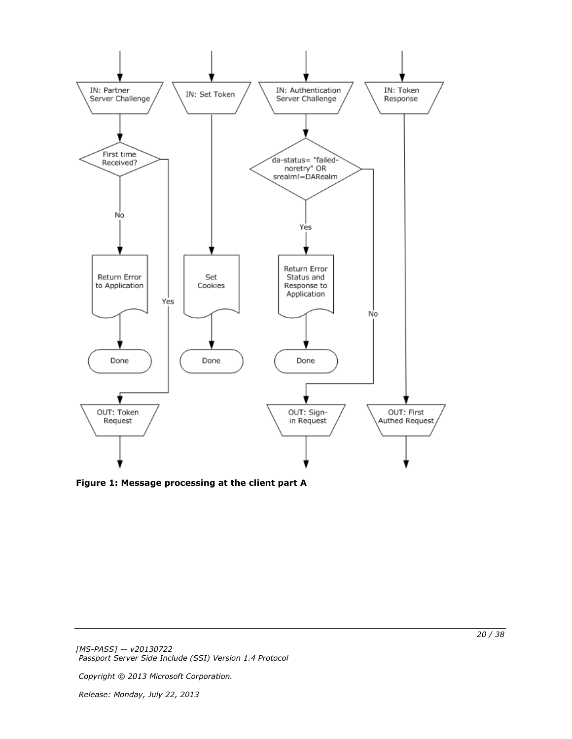

**Figure 1: Message processing at the client part A**

*Copyright © 2013 Microsoft Corporation.*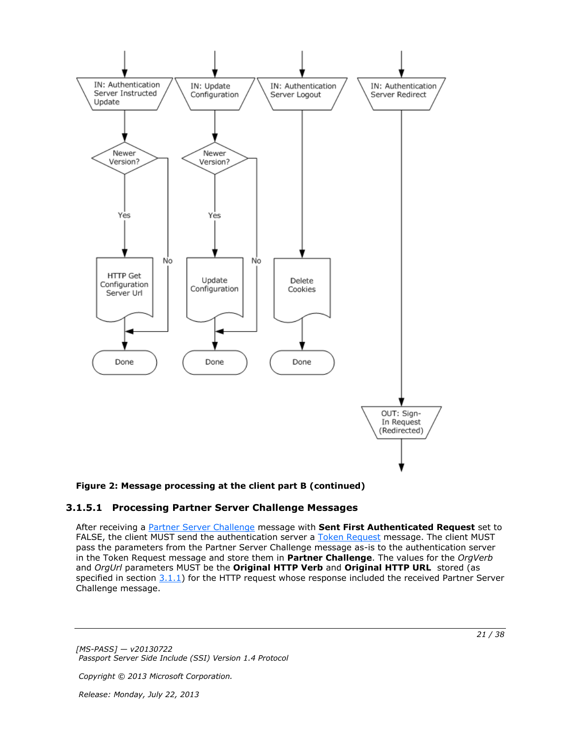

### **Figure 2: Message processing at the client part B (continued)**

## <span id="page-20-0"></span>**3.1.5.1 Processing Partner Server Challenge Messages**

<span id="page-20-1"></span>After receiving a [Partner Server Challenge](#page-14-3) message with **Sent First Authenticated Request** set to FALSE, the client MUST send the authentication server a [Token Request](#page-14-4) message. The client MUST pass the parameters from the Partner Server Challenge message as-is to the authentication server in the Token Request message and store them in **Partner Challenge**. The values for the *OrgVerb* and *OrgUrl* parameters MUST be the **Original HTTP Verb** and **Original HTTP URL** stored (as specified in section  $3.1.1$ ) for the HTTP request whose response included the received Partner Server Challenge message.

*[MS-PASS] — v20130722 Passport Server Side Include (SSI) Version 1.4 Protocol* 

*Copyright © 2013 Microsoft Corporation.*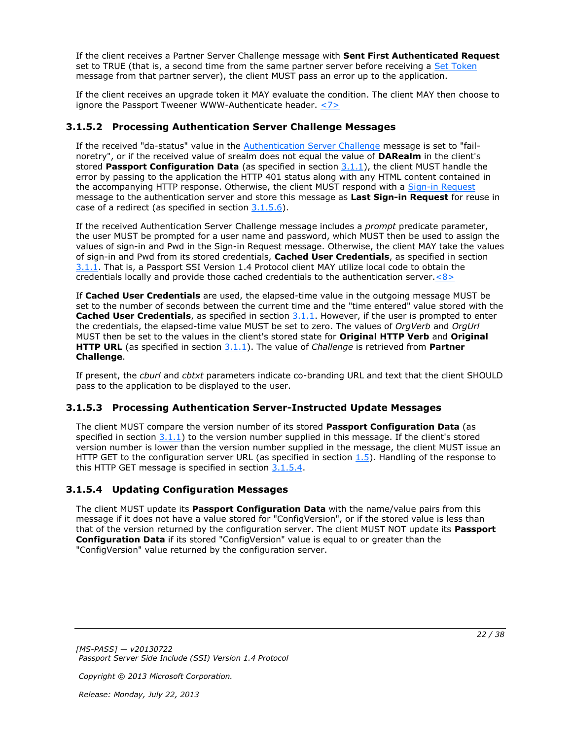If the client receives a Partner Server Challenge message with **Sent First Authenticated Request** set to TRUE (that is, a second time from the same partner server before receiving a [Set Token](#page-14-5) message from that partner server), the client MUST pass an error up to the application.

<span id="page-21-6"></span>If the client receives an upgrade token it MAY evaluate the condition. The client MAY then choose to ignore the Passport Tweener WWW-Authenticate header.  $\leq 7$ 

# <span id="page-21-0"></span>**3.1.5.2 Processing Authentication Server Challenge Messages**

<span id="page-21-4"></span>If the received "da-status" value in the **Authentication Server Challenge message is set to "fail**noretry", or if the received value of srealm does not equal the value of **DARealm** in the client's stored **Passport Configuration Data** (as specified in section [3.1.1\)](#page-17-5), the client MUST handle the error by passing to the application the HTTP 401 status along with any HTML content contained in the accompanying HTTP response. Otherwise, the client MUST respond with a [Sign-in Request](#page-13-3) message to the authentication server and store this message as **Last Sign-in Request** for reuse in case of a redirect (as specified in section [3.1.5.6\)](#page-22-11).

If the received Authentication Server Challenge message includes a *prompt* predicate parameter, the user MUST be prompted for a user name and password, which MUST then be used to assign the values of sign-in and Pwd in the Sign-in Request message. Otherwise, the client MAY take the values of sign-in and Pwd from its stored credentials, **Cached User Credentials**, as specified in section [3.1.1.](#page-17-5) That is, a Passport SSI Version 1.4 Protocol client MAY utilize local code to obtain the credentials locally and provide those cached credentials to the authentication server. $\langle 8 \rangle$ 

<span id="page-21-7"></span>If **Cached User Credentials** are used, the elapsed-time value in the outgoing message MUST be set to the number of seconds between the current time and the "time entered" value stored with the **Cached User Credentials**, as specified in section  $3.1.1$ . However, if the user is prompted to enter the credentials, the elapsed-time value MUST be set to zero. The values of *OrgVerb* and *OrgUrl* MUST then be set to the values in the client's stored state for **Original HTTP Verb** and **Original HTTP URL** (as specified in section [3.1.1\)](#page-17-5). The value of *Challenge* is retrieved from **Partner Challenge**.

If present, the *cburl* and *cbtxt* parameters indicate co-branding URL and text that the client SHOULD pass to the application to be displayed to the user.

# <span id="page-21-1"></span>**3.1.5.3 Processing Authentication Server-Instructed Update Messages**

<span id="page-21-3"></span>The client MUST compare the version number of its stored **Passport Configuration Data** (as specified in section  $3.1.1$ ) to the version number supplied in this message. If the client's stored version number is lower than the version number supplied in the message, the client MUST issue an HTTP GET to the configuration server URL (as specified in section  $1.5$ ). Handling of the response to this HTTP GET message is specified in section  $3.1.5.4$ .

# <span id="page-21-2"></span>**3.1.5.4 Updating Configuration Messages**

<span id="page-21-5"></span>The client MUST update its **Passport Configuration Data** with the name/value pairs from this message if it does not have a value stored for "ConfigVersion", or if the stored value is less than that of the version returned by the configuration server. The client MUST NOT update its **Passport Configuration Data** if its stored "ConfigVersion" value is equal to or greater than the "ConfigVersion" value returned by the configuration server.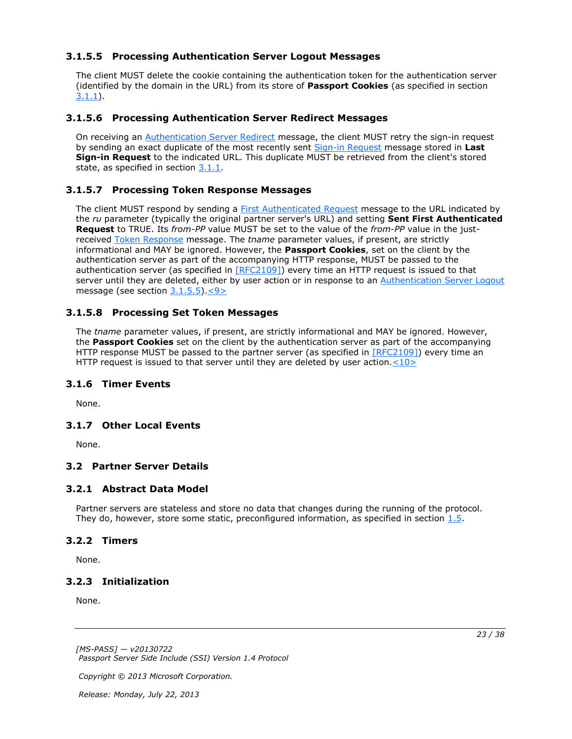# <span id="page-22-0"></span>**3.1.5.5 Processing Authentication Server Logout Messages**

<span id="page-22-12"></span>The client MUST delete the cookie containing the authentication token for the authentication server (identified by the domain in the URL) from its store of **Passport Cookies** (as specified in section [3.1.1\)](#page-17-5).

## <span id="page-22-1"></span>**3.1.5.6 Processing Authentication Server Redirect Messages**

<span id="page-22-11"></span>On receiving an [Authentication Server Redirect](#page-12-4) message, the client MUST retry the sign-in request by sending an exact duplicate of the most recently sent [Sign-in Request](#page-13-3) message stored in **Last Sign-in Request** to the indicated URL. This duplicate MUST be retrieved from the client's stored state, as specified in section [3.1.1.](#page-17-5)

# <span id="page-22-2"></span>**3.1.5.7 Processing Token Response Messages**

<span id="page-22-21"></span>The client MUST respond by sending a [First Authenticated Request](#page-13-2) message to the URL indicated by the *ru* parameter (typically the original partner server's URL) and setting **Sent First Authenticated Request** to TRUE. Its *from-PP* value MUST be set to the value of the *from-PP* value in the justreceived [Token Response](#page-15-2) message. The *tname* parameter values, if present, are strictly informational and MAY be ignored. However, the **Passport Cookies**, set on the client by the authentication server as part of the accompanying HTTP response, MUST be passed to the authentication server (as specified in [\[RFC2109\]\)](http://go.microsoft.com/fwlink/?LinkId=90315) every time an HTTP request is issued to that server until they are deleted, either by user action or in response to an [Authentication Server Logout](#page-12-3) message (see section [3.1.5.5\)](#page-22-12)[.<9>](#page-33-1)

## <span id="page-22-3"></span>**3.1.5.8 Processing Set Token Messages**

<span id="page-22-20"></span><span id="page-22-13"></span>The *tname* parameter values, if present, are strictly informational and MAY be ignored. However, the **Passport Cookies** set on the client by the authentication server as part of the accompanying HTTP response MUST be passed to the partner server (as specified in [\[RFC2109\]\)](http://go.microsoft.com/fwlink/?LinkId=90315) every time an HTTP request is issued to that server until they are deleted by user action. $<$ 10>

### <span id="page-22-4"></span>**3.1.6 Timer Events**

<span id="page-22-17"></span><span id="page-22-16"></span>None.

# <span id="page-22-5"></span>**3.1.7 Other Local Events**

<span id="page-22-10"></span>None.

# <span id="page-22-6"></span>**3.2 Partner Server Details**

### <span id="page-22-7"></span>**3.2.1 Abstract Data Model**

<span id="page-22-15"></span>Partner servers are stateless and store no data that changes during the running of the protocol. They do, however, store some static, preconfigured information, as specified in section  $1.5$ .

### <span id="page-22-8"></span>**3.2.2 Timers**

<span id="page-22-19"></span><span id="page-22-18"></span>None.

### <span id="page-22-9"></span>**3.2.3 Initialization**

None.

*[MS-PASS] — v20130722 Passport Server Side Include (SSI) Version 1.4 Protocol* 

*Copyright © 2013 Microsoft Corporation.* 

*Release: Monday, July 22, 2013* 

<span id="page-22-14"></span>*23 / 38*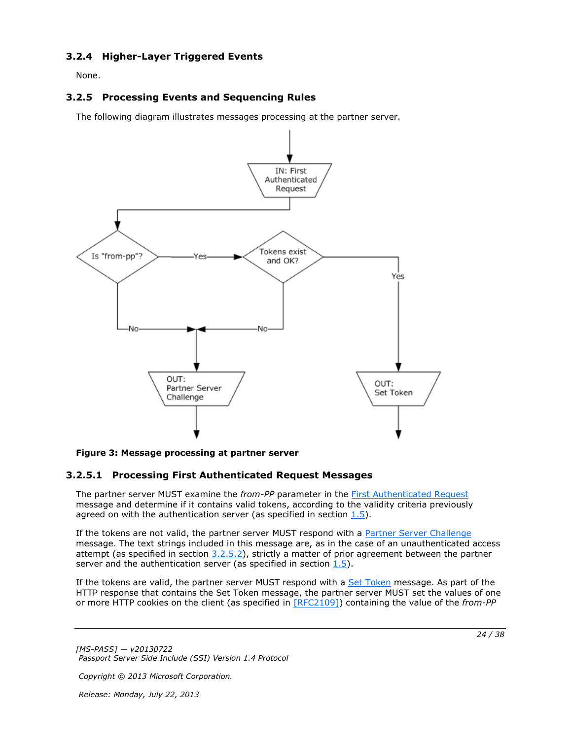# <span id="page-23-0"></span>**3.2.4 Higher-Layer Triggered Events**

<span id="page-23-5"></span><span id="page-23-4"></span>None.

# <span id="page-23-1"></span>**3.2.5 Processing Events and Sequencing Rules**

The following diagram illustrates messages processing at the partner server.



#### **Figure 3: Message processing at partner server**

# <span id="page-23-2"></span>**3.2.5.1 Processing First Authenticated Request Messages**

The partner server MUST examine the *from-PP* parameter in the [First Authenticated Request](#page-13-2) message and determine if it contains valid tokens, according to the validity criteria previously agreed on with the authentication server (as specified in section  $1.5$ ).

If the tokens are not valid, the partner server MUST respond with a [Partner Server Challenge](#page-14-3) message. The text strings included in this message are, as in the case of an unauthenticated access attempt (as specified in section  $3.2.5.2$ ), strictly a matter of prior agreement between the partner server and the authentication server (as specified in section  $1.5$ ).

If the tokens are valid, the partner server MUST respond with a [Set Token](#page-14-5) message. As part of the HTTP response that contains the Set Token message, the partner server MUST set the values of one or more HTTP cookies on the client (as specified in [\[RFC2109\]\)](http://go.microsoft.com/fwlink/?LinkId=90315) containing the value of the *from-PP*

*[MS-PASS] — v20130722 Passport Server Side Include (SSI) Version 1.4 Protocol* 

*Copyright © 2013 Microsoft Corporation.* 

*Release: Monday, July 22, 2013* 

<span id="page-23-3"></span>*24 / 38*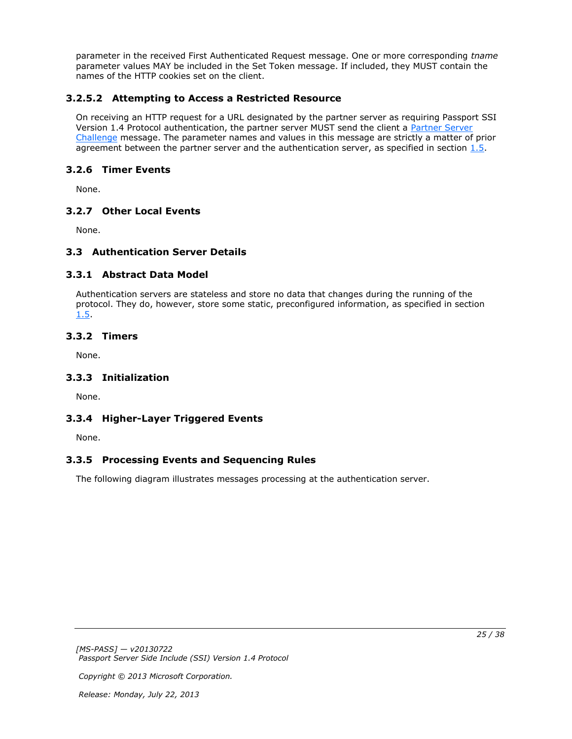parameter in the received First Authenticated Request message. One or more corresponding *tname* parameter values MAY be included in the Set Token message. If included, they MUST contain the names of the HTTP cookies set on the client.

# <span id="page-24-0"></span>**3.2.5.2 Attempting to Access a Restricted Resource**

<span id="page-24-10"></span>On receiving an HTTP request for a URL designated by the partner server as requiring Passport SSI Version 1.4 Protocol authentication, the partner server MUST send the client a Partner Server [Challenge](#page-14-3) message. The parameter names and values in this message are strictly a matter of prior agreement between the partner server and the authentication server, as specified in section [1.5.](#page-8-2)

# <span id="page-24-1"></span>**3.2.6 Timer Events**

<span id="page-24-16"></span>None.

# <span id="page-24-2"></span>**3.2.7 Other Local Events**

<span id="page-24-9"></span>None.

# <span id="page-24-3"></span>**3.3 Authentication Server Details**

# <span id="page-24-4"></span>**3.3.1 Abstract Data Model**

<span id="page-24-11"></span>Authentication servers are stateless and store no data that changes during the running of the protocol. They do, however, store some static, preconfigured information, as specified in section [1.5.](#page-8-2)

# <span id="page-24-5"></span>**3.3.2 Timers**

<span id="page-24-15"></span><span id="page-24-13"></span>None.

# <span id="page-24-6"></span>**3.3.3 Initialization**

<span id="page-24-12"></span>None.

# <span id="page-24-7"></span>**3.3.4 Higher-Layer Triggered Events**

<span id="page-24-14"></span>None.

# <span id="page-24-8"></span>**3.3.5 Processing Events and Sequencing Rules**

The following diagram illustrates messages processing at the authentication server.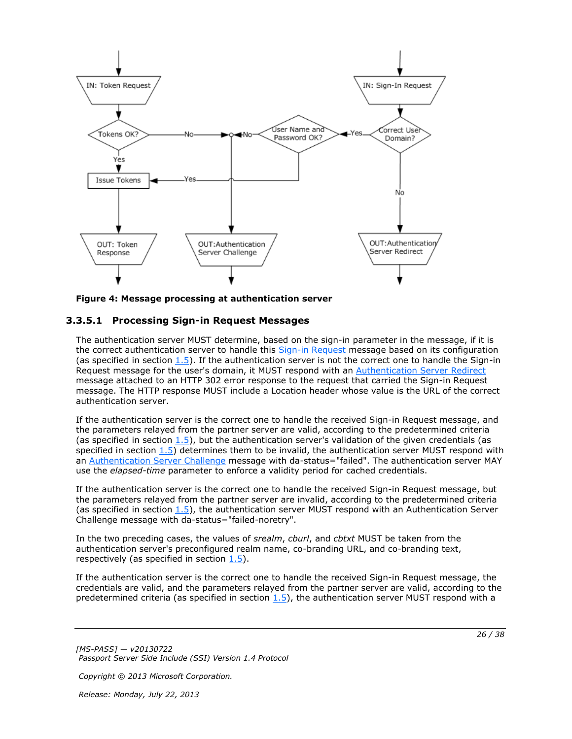

<span id="page-25-1"></span>**Figure 4: Message processing at authentication server**

## <span id="page-25-0"></span>**3.3.5.1 Processing Sign-in Request Messages**

The authentication server MUST determine, based on the sign-in parameter in the message, if it is the correct authentication server to handle this [Sign-in Request](#page-13-3) message based on its configuration (as specified in section  $1.5$ ). If the authentication server is not the correct one to handle the Sign-in Request message for the user's domain, it MUST respond with an [Authentication Server Redirect](#page-12-4) message attached to an HTTP 302 error response to the request that carried the Sign-in Request message. The HTTP response MUST include a Location header whose value is the URL of the correct authentication server.

If the authentication server is the correct one to handle the received Sign-in Request message, and the parameters relayed from the partner server are valid, according to the predetermined criteria (as specified in section  $1.5$ ), but the authentication server's validation of the given credentials (as specified in section  $1.5$ ) determines them to be invalid, the authentication server MUST respond with an [Authentication Server Challenge](#page-11-1) message with da-status="failed". The authentication server MAY use the *elapsed-time* parameter to enforce a validity period for cached credentials.

If the authentication server is the correct one to handle the received Sign-in Request message, but the parameters relayed from the partner server are invalid, according to the predetermined criteria (as specified in section [1.5\)](#page-8-2), the authentication server MUST respond with an Authentication Server Challenge message with da-status="failed-noretry".

In the two preceding cases, the values of *srealm*, *cburl*, and *cbtxt* MUST be taken from the authentication server's preconfigured realm name, co-branding URL, and co-branding text, respectively (as specified in section  $1.5$ ).

If the authentication server is the correct one to handle the received Sign-in Request message, the credentials are valid, and the parameters relayed from the partner server are valid, according to the predetermined criteria (as specified in section  $1.5$ ), the authentication server MUST respond with a

*[MS-PASS] — v20130722 Passport Server Side Include (SSI) Version 1.4 Protocol* 

*Copyright © 2013 Microsoft Corporation.*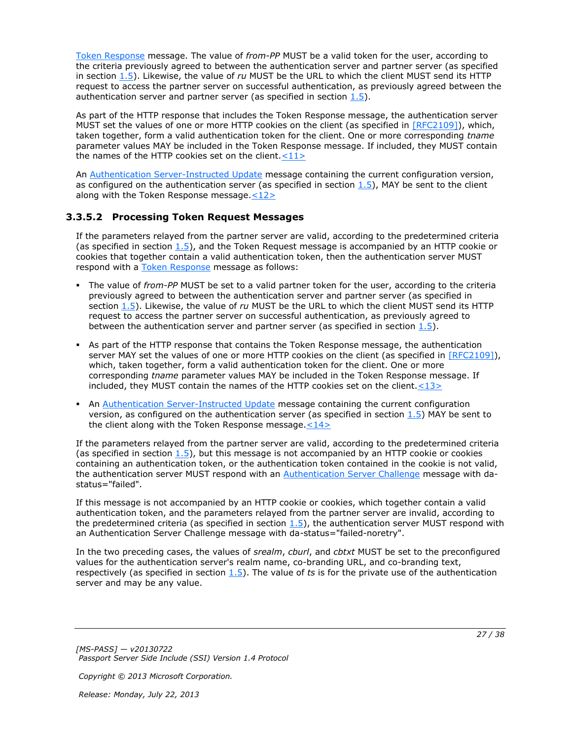[Token Response](#page-15-2) message. The value of *from-PP* MUST be a valid token for the user, according to the criteria previously agreed to between the authentication server and partner server (as specified in section [1.5\)](#page-8-2). Likewise, the value of *ru* MUST be the URL to which the client MUST send its HTTP request to access the partner server on successful authentication, as previously agreed between the authentication server and partner server (as specified in section  $1.5$ ).

As part of the HTTP response that includes the Token Response message, the authentication server MUST set the values of one or more HTTP cookies on the client (as specified in [\[RFC2109\]\)](http://go.microsoft.com/fwlink/?LinkId=90315), which, taken together, form a valid authentication token for the client. One or more corresponding *tname* parameter values MAY be included in the Token Response message. If included, they MUST contain the names of the HTTP cookies set on the client.  $\langle 11 \rangle$ 

<span id="page-26-2"></span><span id="page-26-1"></span>An [Authentication Server-Instructed Update](#page-12-5) message containing the current configuration version, as configured on the authentication server (as specified in section  $1.5$ ), MAY be sent to the client along with the Token Response message. $\leq 12>$ 

## <span id="page-26-0"></span>**3.3.5.2 Processing Token Request Messages**

<span id="page-26-5"></span>If the parameters relayed from the partner server are valid, according to the predetermined criteria (as specified in section  $1.5$ ), and the Token Request message is accompanied by an HTTP cookie or cookies that together contain a valid authentication token, then the authentication server MUST respond with a [Token Response](#page-15-2) message as follows:

- The value of *from-PP* MUST be set to a valid partner token for the user, according to the criteria previously agreed to between the authentication server and partner server (as specified in section [1.5\)](#page-8-2). Likewise, the value of *ru* MUST be the URL to which the client MUST send its HTTP request to access the partner server on successful authentication, as previously agreed to between the authentication server and partner server (as specified in section  $1.5$ ).
- As part of the HTTP response that contains the Token Response message, the authentication server MAY set the values of one or more HTTP cookies on the client (as specified in [\[RFC2109\]\)](http://go.microsoft.com/fwlink/?LinkId=90315), which, taken together, form a valid authentication token for the client. One or more corresponding *tname* parameter values MAY be included in the Token Response message. If included, they MUST contain the names of the HTTP cookies set on the client. $\leq 13>$
- <span id="page-26-4"></span><span id="page-26-3"></span> An [Authentication Server-Instructed Update](#page-12-5) message containing the current configuration version, as configured on the authentication server (as specified in section  $1.5$ ) MAY be sent to the client along with the Token Response message. $<$ 14>

If the parameters relayed from the partner server are valid, according to the predetermined criteria (as specified in section  $1.5$ ), but this message is not accompanied by an HTTP cookie or cookies containing an authentication token, or the authentication token contained in the cookie is not valid, the authentication server MUST respond with an [Authentication Server Challenge](#page-11-1) message with dastatus="failed".

If this message is not accompanied by an HTTP cookie or cookies, which together contain a valid authentication token, and the parameters relayed from the partner server are invalid, according to the predetermined criteria (as specified in section  $1.5$ ), the authentication server MUST respond with an Authentication Server Challenge message with da-status="failed-noretry".

In the two preceding cases, the values of *srealm*, *cburl*, and *cbtxt* MUST be set to the preconfigured values for the authentication server's realm name, co-branding URL, and co-branding text, respectively (as specified in section [1.5\)](#page-8-2). The value of *ts* is for the private use of the authentication server and may be any value.

*[MS-PASS] — v20130722 Passport Server Side Include (SSI) Version 1.4 Protocol* 

*Copyright © 2013 Microsoft Corporation.*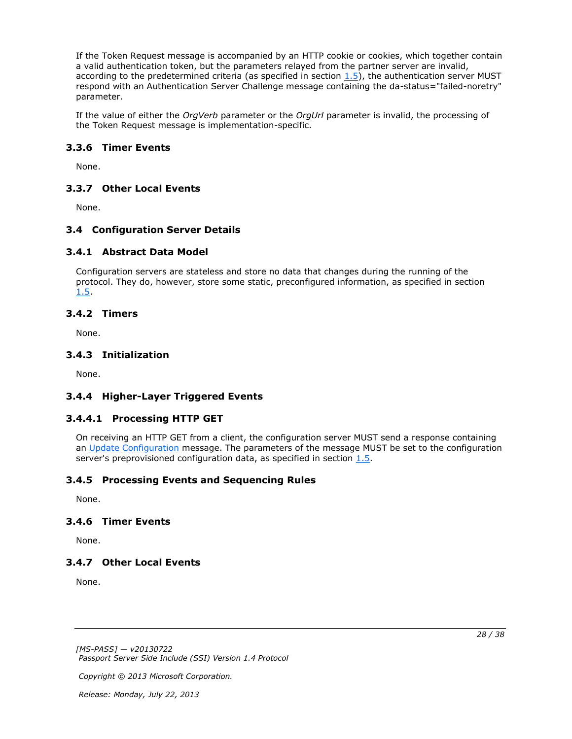If the Token Request message is accompanied by an HTTP cookie or cookies, which together contain a valid authentication token, but the parameters relayed from the partner server are invalid, according to the predetermined criteria (as specified in section  $1.5$ ), the authentication server MUST respond with an Authentication Server Challenge message containing the da-status="failed-noretry" parameter.

If the value of either the *OrgVerb* parameter or the *OrgUrl* parameter is invalid, the processing of the Token Request message is implementation-specific.

## <span id="page-27-0"></span>**3.3.6 Timer Events**

<span id="page-27-13"></span><span id="page-27-12"></span>None.

## <span id="page-27-1"></span>**3.3.7 Other Local Events**

None.

## <span id="page-27-2"></span>**3.4 Configuration Server Details**

### <span id="page-27-3"></span>**3.4.1 Abstract Data Model**

<span id="page-27-11"></span>Configuration servers are stateless and store no data that changes during the running of the protocol. They do, however, store some static, preconfigured information, as specified in section [1.5.](#page-8-2)

### <span id="page-27-4"></span>**3.4.2 Timers**

<span id="page-27-20"></span><span id="page-27-16"></span>None.

### <span id="page-27-5"></span>**3.4.3 Initialization**

<span id="page-27-14"></span>None.

# <span id="page-27-6"></span>**3.4.4 Higher-Layer Triggered Events**

# <span id="page-27-7"></span>**3.4.4.1 Processing HTTP GET**

<span id="page-27-15"></span>On receiving an HTTP GET from a client, the configuration server MUST send a response containing an [Update Configuration](#page-15-3) message. The parameters of the message MUST be set to the configuration server's preprovisioned configuration data, as specified in section [1.5.](#page-8-2)

# <span id="page-27-8"></span>**3.4.5 Processing Events and Sequencing Rules**

<span id="page-27-19"></span><span id="page-27-18"></span>None.

# <span id="page-27-9"></span>**3.4.6 Timer Events**

<span id="page-27-17"></span>None.

### <span id="page-27-10"></span>**3.4.7 Other Local Events**

None.

*[MS-PASS] — v20130722 Passport Server Side Include (SSI) Version 1.4 Protocol*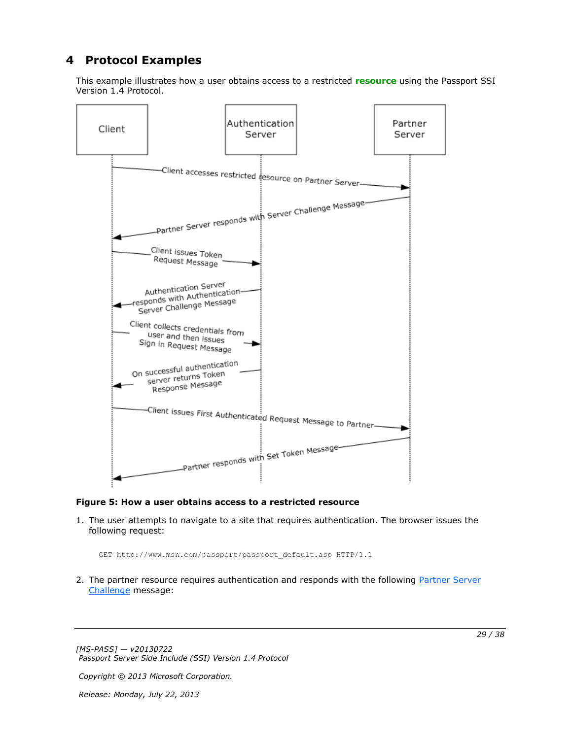# <span id="page-28-0"></span>**4 Protocol Examples**

<span id="page-28-1"></span>This example illustrates how a user obtains access to a restricted **[resource](#page-6-5)** using the Passport SSI Version 1.4 Protocol.



#### **Figure 5: How a user obtains access to a restricted resource**

1. The user attempts to navigate to a site that requires authentication. The browser issues the following request:

GET http://www.msn.com/passport/passport\_default.asp HTTP/1.1

2. The partner resource requires authentication and responds with the following Partner Server [Challenge](#page-14-3) message:

*[MS-PASS] — v20130722 Passport Server Side Include (SSI) Version 1.4 Protocol* 

*Copyright © 2013 Microsoft Corporation.*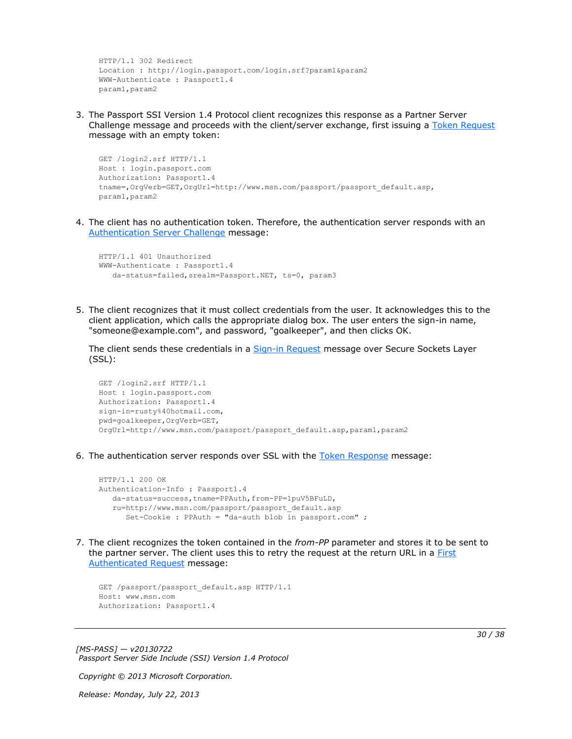```
HTTP/1.1 302 Redirect
Location : http://login.passport.com/login.srf?param1&param2
WWW-Authenticate : Passport1.4
param1,param2
```
3. The Passport SSI Version 1.4 Protocol client recognizes this response as a Partner Server Challenge message and proceeds with the client/server exchange, first issuing a [Token Request](#page-14-4) message with an empty token:

```
GET /login2.srf HTTP/1.1
Host : login.passport.com
Authorization: Passport1.4
tname=,OrgVerb=GET,OrgUrl=http://www.msn.com/passport/passport_default.asp,
param1,param2
```
4. The client has no authentication token. Therefore, the authentication server responds with an [Authentication Server Challenge](#page-11-1) message:

```
HTTP/1.1 401 Unauthorized
WWW-Authenticate : Passport1.4
    da-status=failed,srealm=Passport.NET, ts=0, param3
```
5. The client recognizes that it must collect credentials from the user. It acknowledges this to the client application, which calls the appropriate dialog box. The user enters the sign-in name, "someone@example.com", and password, "goalkeeper", and then clicks OK.

The client sends these credentials in a [Sign-in Request](#page-13-3) message over Secure Sockets Layer (SSL):

```
GET /login2.srf HTTP/1.1
Host : login.passport.com
Authorization: Passport1.4
sign-in=rusty%40hotmail.com,
pwd=goalkeeper,OrgVerb=GET,
OrgUrl=http://www.msn.com/passport/passport_default.asp,param1,param2
```
6. The authentication server responds over SSL with the [Token Response](#page-15-2) message:

```
HTTP/1.1 200 OK
Authentication-Info : Passport1.4
   da-status=success,tname=PPAuth,from-PP=1puV5BFuLD,
    ru=http://www.msn.com/passport/passport_default.asp
       Set-Cookie : PPAuth = "da-auth blob in passport.com" ;
```
7. The client recognizes the token contained in the *from-PP* parameter and stores it to be sent to the partner server. The client uses this to retry the request at the return URL in a **First** [Authenticated Request](#page-13-2) message:

```
GET /passport/passport default.asp HTTP/1.1
Host: www.msn.com
Authorization: Passport1.4
```
*[MS-PASS] — v20130722 Passport Server Side Include (SSI) Version 1.4 Protocol* 

*Copyright © 2013 Microsoft Corporation.* 

*Release: Monday, July 22, 2013* 

*30 / 38*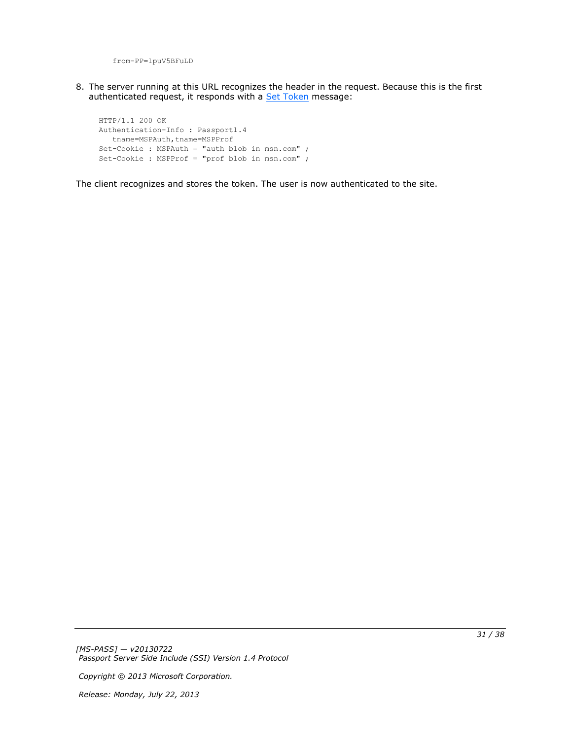from-PP=1puV5BFuLD

8. The server running at this URL recognizes the header in the request. Because this is the first authenticated request, it responds with a **Set Token** message:

HTTP/1.1 200 OK Authentication-Info : Passport1.4 tname=MSPAuth,tname=MSPProf Set-Cookie : MSPAuth = "auth blob in msn.com" ; Set-Cookie : MSPProf = "prof blob in msn.com" ;

The client recognizes and stores the token. The user is now authenticated to the site.

*[MS-PASS] — v20130722 Passport Server Side Include (SSI) Version 1.4 Protocol* 

*Copyright © 2013 Microsoft Corporation.*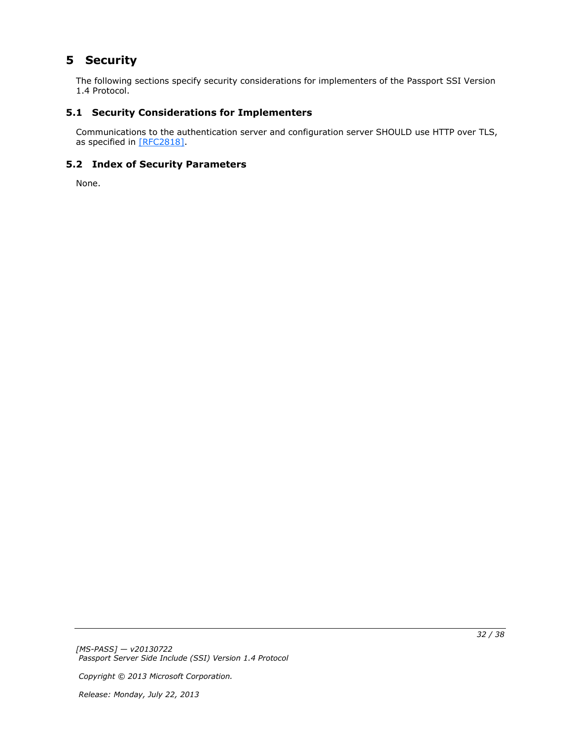# <span id="page-31-0"></span>**5 Security**

<span id="page-31-5"></span>The following sections specify security considerations for implementers of the Passport SSI Version 1.4 Protocol.

# <span id="page-31-1"></span>**5.1 Security Considerations for Implementers**

<span id="page-31-3"></span>Communications to the authentication server and configuration server SHOULD use HTTP over TLS, as specified in [\[RFC2818\].](http://go.microsoft.com/fwlink/?LinkId=90383)

# <span id="page-31-2"></span>**5.2 Index of Security Parameters**

<span id="page-31-4"></span>None.

*[MS-PASS] — v20130722 Passport Server Side Include (SSI) Version 1.4 Protocol* 

*Copyright © 2013 Microsoft Corporation.*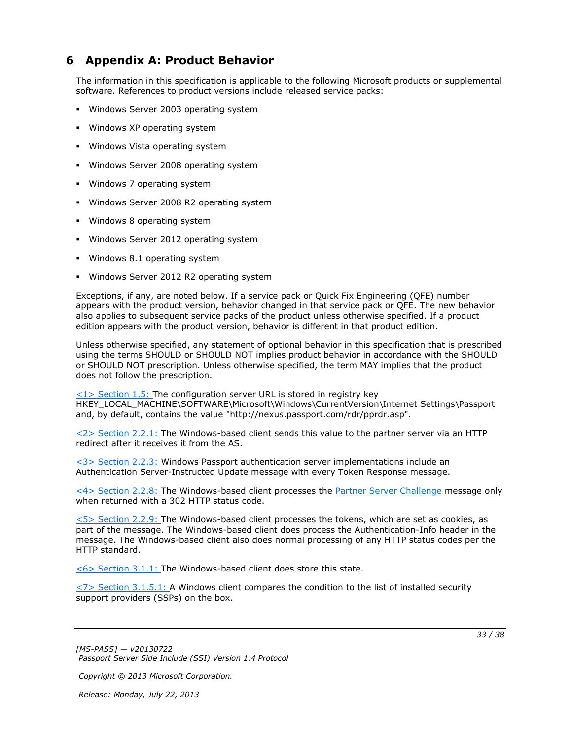# <span id="page-32-0"></span>**6 Appendix A: Product Behavior**

<span id="page-32-8"></span>The information in this specification is applicable to the following Microsoft products or supplemental software. References to product versions include released service packs:

- Windows Server 2003 operating system
- **Windows XP operating system**
- **Windows Vista operating system**
- **Windows Server 2008 operating system**
- Windows 7 operating system
- Windows Server 2008 R2 operating system
- Windows 8 operating system
- **Windows Server 2012 operating system**
- Windows 8.1 operating system
- **Windows Server 2012 R2 operating system**

Exceptions, if any, are noted below. If a service pack or Quick Fix Engineering (QFE) number appears with the product version, behavior changed in that service pack or QFE. The new behavior also applies to subsequent service packs of the product unless otherwise specified. If a product edition appears with the product version, behavior is different in that product edition.

Unless otherwise specified, any statement of optional behavior in this specification that is prescribed using the terms SHOULD or SHOULD NOT implies product behavior in accordance with the SHOULD or SHOULD NOT prescription. Unless otherwise specified, the term MAY implies that the product does not follow the prescription.

<span id="page-32-1"></span> $\langle 1 \rangle$  Section 1.5: The configuration server URL is stored in registry key HKEY\_LOCAL\_MACHINE\SOFTWARE\Microsoft\Windows\CurrentVersion\Internet Settings\Passport and, by default, contains the value "http://nexus.passport.com/rdr/pprdr.asp".

<span id="page-32-2"></span>[<2> Section 2.2.1: T](#page-11-2)he Windows-based client sends this value to the partner server via an HTTP redirect after it receives it from the AS.

<span id="page-32-3"></span>[<3> Section 2.2.3: W](#page-12-6)indows Passport authentication server implementations include an Authentication Server-Instructed Update message with every Token Response message.

<span id="page-32-4"></span>[<4> Section 2.2.8: T](#page-14-6)he Windows-based client processes the [Partner Server Challenge](#page-14-3) message only when returned with a 302 HTTP status code.

<span id="page-32-5"></span>[<5> Section 2.2.9: T](#page-14-7)he Windows-based client processes the tokens, which are set as cookies, as part of the message. The Windows-based client does process the Authentication-Info header in the message. The Windows-based client also does normal processing of any HTTP status codes per the HTTP standard.

<span id="page-32-6"></span>[<6> Section 3.1.1: T](#page-17-6)he Windows-based client does store this state.

<span id="page-32-7"></span> $\langle$  [<7> Section 3.1.5.1: A](#page-21-6) Windows client compares the condition to the list of installed security support providers (SSPs) on the box.

*[MS-PASS] — v20130722 Passport Server Side Include (SSI) Version 1.4 Protocol* 

*Copyright © 2013 Microsoft Corporation.*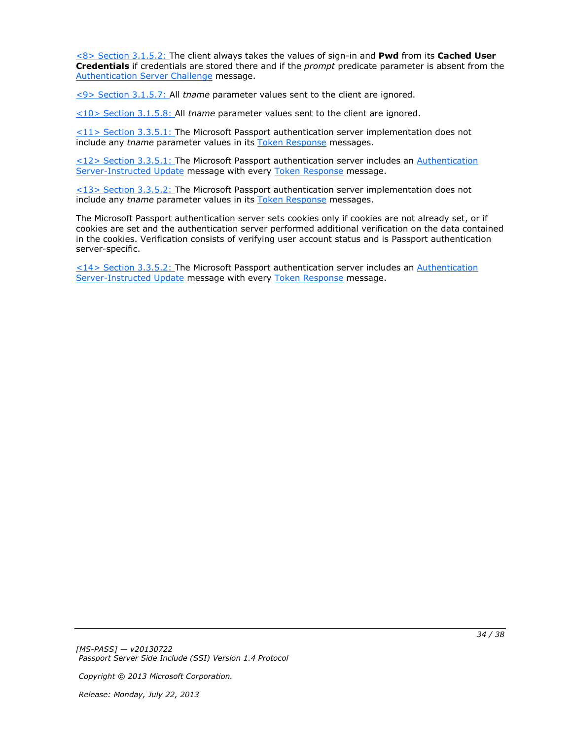<span id="page-33-0"></span>[<8> Section 3.1.5.2: T](#page-21-7)he client always takes the values of sign-in and **Pwd** from its **Cached User Credentials** if credentials are stored there and if the *prompt* predicate parameter is absent from the [Authentication Server Challenge](#page-11-1) message.

<span id="page-33-1"></span>[<9> Section 3.1.5.7: A](#page-22-13)ll *tname* parameter values sent to the client are ignored.

<span id="page-33-2"></span>[<10> Section 3.1.5.8: A](#page-22-14)ll *tname* parameter values sent to the client are ignored.

<span id="page-33-3"></span> $\leq$ 11> Section 3.3.5.1: The Microsoft Passport authentication server implementation does not include any *tname* parameter values in its [Token Response](#page-15-2) messages.

<span id="page-33-4"></span>[<12> Section 3.3.5.1: T](#page-26-2)he Microsoft Passport authentication server includes an [Authentication](#page-12-5)  [Server-Instructed Update](#page-12-5) message with every [Token Response](#page-15-2) message.

<span id="page-33-5"></span>[<13> Section 3.3.5.2: T](#page-26-3)he Microsoft Passport authentication server implementation does not include any *tname* parameter values in its [Token Response](#page-15-2) messages.

The Microsoft Passport authentication server sets cookies only if cookies are not already set, or if cookies are set and the authentication server performed additional verification on the data contained in the cookies. Verification consists of verifying user account status and is Passport authentication server-specific.

<span id="page-33-6"></span>[<14> Section 3.3.5.2: T](#page-26-4)he Microsoft Passport authentication server includes an [Authentication](#page-12-5)  [Server-Instructed Update](#page-12-5) message with every [Token Response](#page-15-2) message.

*[MS-PASS] — v20130722 Passport Server Side Include (SSI) Version 1.4 Protocol* 

*Copyright © 2013 Microsoft Corporation.*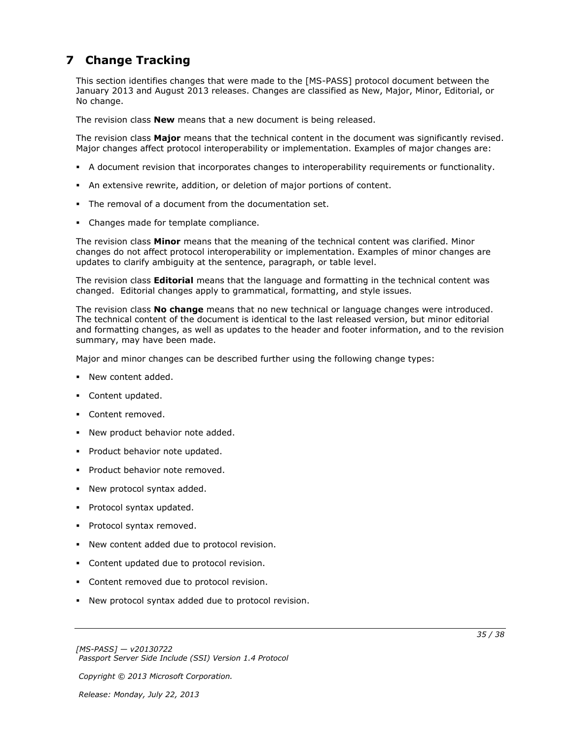# <span id="page-34-0"></span>**7 Change Tracking**

<span id="page-34-1"></span>This section identifies changes that were made to the [MS-PASS] protocol document between the January 2013 and August 2013 releases. Changes are classified as New, Major, Minor, Editorial, or No change.

The revision class **New** means that a new document is being released.

The revision class **Major** means that the technical content in the document was significantly revised. Major changes affect protocol interoperability or implementation. Examples of major changes are:

- A document revision that incorporates changes to interoperability requirements or functionality.
- An extensive rewrite, addition, or deletion of major portions of content.
- The removal of a document from the documentation set.
- Changes made for template compliance.

The revision class **Minor** means that the meaning of the technical content was clarified. Minor changes do not affect protocol interoperability or implementation. Examples of minor changes are updates to clarify ambiguity at the sentence, paragraph, or table level.

The revision class **Editorial** means that the language and formatting in the technical content was changed. Editorial changes apply to grammatical, formatting, and style issues.

The revision class **No change** means that no new technical or language changes were introduced. The technical content of the document is identical to the last released version, but minor editorial and formatting changes, as well as updates to the header and footer information, and to the revision summary, may have been made.

Major and minor changes can be described further using the following change types:

- New content added.
- **Content updated.**
- Content removed.
- New product behavior note added.
- **Product behavior note updated.**
- **Product behavior note removed.**
- New protocol syntax added.
- **Protocol syntax updated.**
- **Protocol syntax removed.**
- New content added due to protocol revision.
- Content updated due to protocol revision.
- Content removed due to protocol revision.
- New protocol syntax added due to protocol revision.

*Copyright © 2013 Microsoft Corporation.*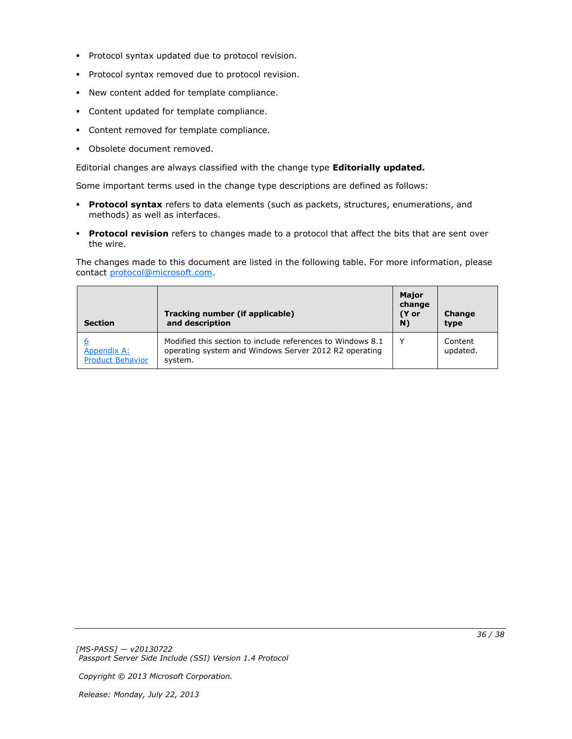- **Protocol syntax updated due to protocol revision.**
- **Protocol syntax removed due to protocol revision.**
- New content added for template compliance.
- Content updated for template compliance.
- **Content removed for template compliance.**
- Obsolete document removed.

Editorial changes are always classified with the change type **Editorially updated.**

Some important terms used in the change type descriptions are defined as follows:

- **Protocol syntax** refers to data elements (such as packets, structures, enumerations, and methods) as well as interfaces.
- **Protocol revision** refers to changes made to a protocol that affect the bits that are sent over the wire.

The changes made to this document are listed in the following table. For more information, please contact [protocol@microsoft.com.](mailto:protocol@microsoft.com)

| <b>Section</b>                                | Tracking number (if applicable)<br>and description                                                                             | <b>Major</b><br>change<br>(Y or<br>N) | Change<br>type      |
|-----------------------------------------------|--------------------------------------------------------------------------------------------------------------------------------|---------------------------------------|---------------------|
| <b>Appendix A:</b><br><b>Product Behavior</b> | Modified this section to include references to Windows 8.1<br>operating system and Windows Server 2012 R2 operating<br>system. | v                                     | Content<br>updated. |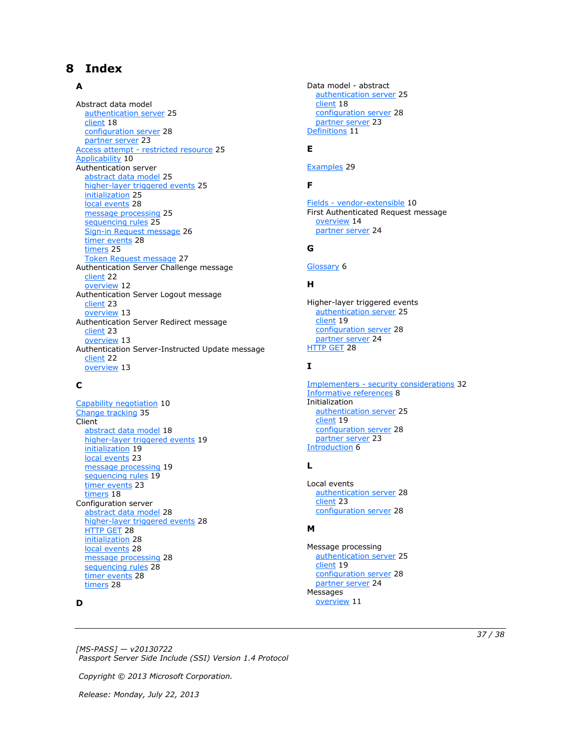# <span id="page-36-0"></span>**8 Index**

#### **A**

Abstract data model [authentication server](#page-24-11) 25 [client](#page-17-5) 18 [configuration server](#page-27-11) 28 [partner server](#page-22-15) 23 Access attempt - [restricted resource](#page-24-10) 25 [Applicability](#page-9-4) 10 Authentication server [abstract data model](#page-24-11) 25 [higher-layer triggered events](#page-24-12) 25 [initialization](#page-24-13) 25 [local events](#page-27-12) 28 [message processing](#page-24-14) 25 [sequencing rules](#page-24-14) 25 [Sign-in Request message](#page-25-1) 26 [timer events](#page-27-13) 28 [timers](#page-24-15) 25 [Token Request message](#page-26-5) 27 Authentication Server Challenge message [client](#page-21-4) 22 [overview](#page-11-1) 12 Authentication Server Logout message [client](#page-22-12) 23 [overview](#page-12-3) 13 Authentication Server Redirect message [client](#page-22-11) 23 [overview](#page-12-4) 13 Authentication Server-Instructed Update message [client](#page-21-3) 22 [overview](#page-12-5) 13

# **C**

[Capability negotiation](#page-9-5) 10 [Change tracking](#page-34-1) 35 **Client** [abstract data model](#page-17-5) 18 [higher-layer triggered events](#page-18-8) 19 [initialization](#page-18-9) 19 [local events](#page-22-16) 23 [message processing](#page-18-7) 19 [sequencing rules](#page-18-7) 19 [timer events](#page-22-17) 23 [timers](#page-17-7) 18 Configuration server [abstract data model](#page-27-11) 28 [higher-layer triggered events](#page-27-14) 28 [HTTP GET](#page-27-15) 28 [initialization](#page-27-16) 28 [local events](#page-27-17) 28 [message processing](#page-27-18) 28 [sequencing rules](#page-27-18) 28 [timer events](#page-27-19) 28 [timers](#page-27-20) 28

#### **D**

Data model - abstract [authentication server](#page-24-11) 25 [client](#page-17-5) 18 [configuration server](#page-27-11) 28 [partner server](#page-22-15) 23 [Definitions](#page-10-4) 11

# **E**

[Examples](#page-28-1) 29

### **F**

Fields - [vendor-extensible](#page-9-6) 10 First Authenticated Request message [overview](#page-13-2) 14 [partner server](#page-23-3) 24

### **G**

[Glossary](#page-5-10) 6

# **H**

Higher-layer triggered events [authentication server](#page-24-12) 25 [client](#page-18-8) 19 [configuration server](#page-27-14) 28 [partner server](#page-23-4) 24 [HTTP GET](#page-27-15) 28

#### **I**

Implementers - [security considerations](#page-31-3) 32 [Informative references](#page-7-2) 8 Initialization [authentication server](#page-24-13) 25 [client](#page-18-9) 19 [configuration server](#page-27-16) 28 [partner server](#page-22-18) 23 [Introduction](#page-5-11) 6

#### **L**

Local events [authentication server](#page-27-12) 28 [client](#page-22-16) 23 [configuration server](#page-27-17) 28

## **M**

Message processing [authentication server](#page-24-14) 25 [client](#page-18-7) 19 [configuration server](#page-27-18) 28 [partner server](#page-23-5) 24 Messages [overview](#page-10-5) 11

*[MS-PASS] — v20130722 Passport Server Side Include (SSI) Version 1.4 Protocol* 

*Copyright © 2013 Microsoft Corporation.*